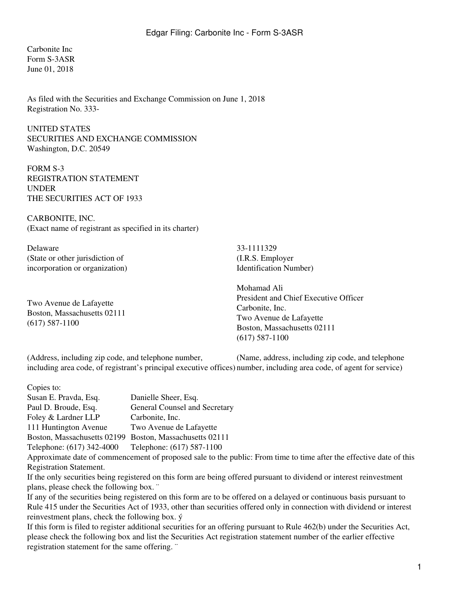Carbonite Inc Form S-3ASR June 01, 2018

As filed with the Securities and Exchange Commission on June 1, 2018 Registration No. 333-

UNITED STATES SECURITIES AND EXCHANGE COMMISSION Washington, D.C. 20549

FORM S-3 REGISTRATION STATEMENT UNDER THE SECURITIES ACT OF 1933

CARBONITE, INC. (Exact name of registrant as specified in its charter)

Delaware 33-1111329 (State or other jurisdiction of incorporation or organization)

Two Avenue de Lafayette Boston, Massachusetts 02111 (617) 587-1100

(I.R.S. Employer Identification Number)

Mohamad Ali President and Chief Executive Officer Carbonite, Inc. Two Avenue de Lafayette Boston, Massachusetts 02111 (617) 587-1100

(Address, including zip code, and telephone number, including area code, of registrant's principal executive offices) number, including area code, of agent for service) (Name, address, including zip code, and telephone

Copies to:

| Susan E. Pravda, Esq.                                   | Danielle Sheer, Esq.          |
|---------------------------------------------------------|-------------------------------|
| Paul D. Broude, Esq.                                    | General Counsel and Secretary |
| Foley & Lardner LLP                                     | Carbonite, Inc.               |
| 111 Huntington Avenue                                   | Two Avenue de Lafayette       |
| Boston, Massachusetts 02199 Boston, Massachusetts 02111 |                               |
| Telephone: (617) 342-4000                               | Telephone: (617) 587-1100     |

Approximate date of commencement of proposed sale to the public: From time to time after the effective date of this Registration Statement.

If the only securities being registered on this form are being offered pursuant to dividend or interest reinvestment plans, please check the following box. ¨

If any of the securities being registered on this form are to be offered on a delayed or continuous basis pursuant to Rule 415 under the Securities Act of 1933, other than securities offered only in connection with dividend or interest reinvestment plans, check the following box. ý

If this form is filed to register additional securities for an offering pursuant to Rule 462(b) under the Securities Act, please check the following box and list the Securities Act registration statement number of the earlier effective registration statement for the same offering. ¨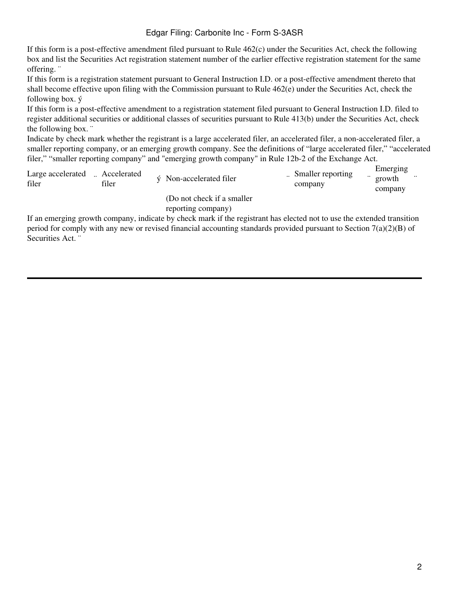## Edgar Filing: Carbonite Inc - Form S-3ASR

If this form is a post-effective amendment filed pursuant to Rule 462(c) under the Securities Act, check the following box and list the Securities Act registration statement number of the earlier effective registration statement for the same offering. ¨

If this form is a registration statement pursuant to General Instruction I.D. or a post-effective amendment thereto that shall become effective upon filing with the Commission pursuant to Rule 462(e) under the Securities Act, check the following box. ý

If this form is a post-effective amendment to a registration statement filed pursuant to General Instruction I.D. filed to register additional securities or additional classes of securities pursuant to Rule 413(b) under the Securities Act, check the following box. ¨

Indicate by check mark whether the registrant is a large accelerated filer, an accelerated filer, a non-accelerated filer, a smaller reporting company, or an emerging growth company. See the definitions of "large accelerated filer," "accelerated filer," "smaller reporting company" and "emerging growth company" in Rule 12b-2 of the Exchange Act.

| Large accelerated | $\ddot{\phantom{a}}$ . Accelerated |                       | Smaller reporting | Emerging          |
|-------------------|------------------------------------|-----------------------|-------------------|-------------------|
| filer             | filer                              | Non-accelerated filer | company           | growth<br>company |

(Do not check if a smaller reporting company)

If an emerging growth company, indicate by check mark if the registrant has elected not to use the extended transition period for comply with any new or revised financial accounting standards provided pursuant to Section 7(a)(2)(B) of Securities Act. <sup>1</sup>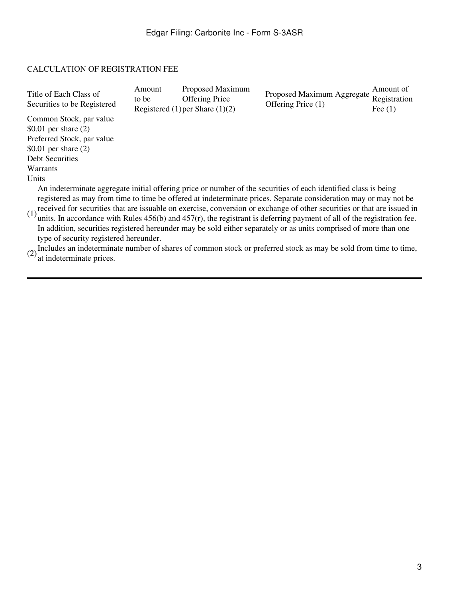## CALCULATION OF REGISTRATION FEE

| Title of Each Class of<br>Securities to be Registered | Amount<br>to be | Proposed Maximum<br><b>Offering Price</b><br>Registered $(1)$ per Share $(1)(2)$ | Proposed Maximum Aggregate<br>Offering Price (1)                                                                                                                                                                                                                                                                                                                                                                                                                                                                                                                                                                                                                                                                                | Amount of<br>Registration<br>Fee $(1)$ |
|-------------------------------------------------------|-----------------|----------------------------------------------------------------------------------|---------------------------------------------------------------------------------------------------------------------------------------------------------------------------------------------------------------------------------------------------------------------------------------------------------------------------------------------------------------------------------------------------------------------------------------------------------------------------------------------------------------------------------------------------------------------------------------------------------------------------------------------------------------------------------------------------------------------------------|----------------------------------------|
| Common Stock, par value                               |                 |                                                                                  |                                                                                                                                                                                                                                                                                                                                                                                                                                                                                                                                                                                                                                                                                                                                 |                                        |
| $$0.01$ per share $(2)$                               |                 |                                                                                  |                                                                                                                                                                                                                                                                                                                                                                                                                                                                                                                                                                                                                                                                                                                                 |                                        |
| Preferred Stock, par value                            |                 |                                                                                  |                                                                                                                                                                                                                                                                                                                                                                                                                                                                                                                                                                                                                                                                                                                                 |                                        |
| \$0.01 per share $(2)$                                |                 |                                                                                  |                                                                                                                                                                                                                                                                                                                                                                                                                                                                                                                                                                                                                                                                                                                                 |                                        |
| <b>Debt Securities</b>                                |                 |                                                                                  |                                                                                                                                                                                                                                                                                                                                                                                                                                                                                                                                                                                                                                                                                                                                 |                                        |
| Warrants                                              |                 |                                                                                  |                                                                                                                                                                                                                                                                                                                                                                                                                                                                                                                                                                                                                                                                                                                                 |                                        |
| Units                                                 |                 |                                                                                  |                                                                                                                                                                                                                                                                                                                                                                                                                                                                                                                                                                                                                                                                                                                                 |                                        |
| (1)<br>type of security registered hereunder.         |                 |                                                                                  | An indeterminate aggregate initial offering price or number of the securities of each identified class is being<br>registered as may from time to time be offered at indeterminate prices. Separate consideration may or may not be<br>received for securities that are issuable on exercise, conversion or exchange of other securities or that are issued in<br>units. In accordance with Rules 456(b) and 457(r), the registrant is deferring payment of all of the registration fee.<br>In addition, securities registered hereunder may be sold either separately or as units comprised of more than one<br>Includes on indeterminate number of shares of common stock or professed stock as may be sold from time to time |                                        |

(2) Includes an indeterminate number of shares of common stock or preferred stock as may be sold from time to time, at indeterminate prices.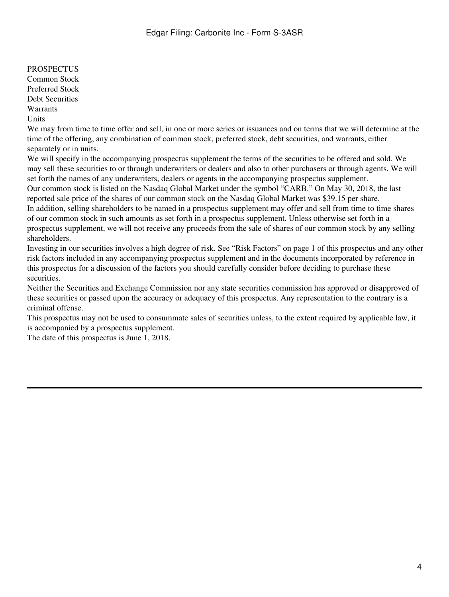<span id="page-3-0"></span>PROSPECTUS Common Stock Preferred Stock Debt Securities Warrants **Units** 

We may from time to time offer and sell, in one or more series or issuances and on terms that we will determine at the time of the offering, any combination of common stock, preferred stock, debt securities, and warrants, either separately or in units.

We will specify in the accompanying prospectus supplement the terms of the securities to be offered and sold. We may sell these securities to or through underwriters or dealers and also to other purchasers or through agents. We will set forth the names of any underwriters, dealers or agents in the accompanying prospectus supplement. Our common stock is listed on the Nasdaq Global Market under the symbol "CARB." On May 30, 2018, the last reported sale price of the shares of our common stock on the Nasdaq Global Market was \$39.15 per share. In addition, selling shareholders to be named in a prospectus supplement may offer and sell from time to time shares of our common stock in such amounts as set forth in a prospectus supplement. Unless otherwise set forth in a prospectus supplement, we will not receive any proceeds from the sale of shares of our common stock by any selling shareholders.

Investing in our securities involves a high degree of risk. See "Risk Factors" on page 1 of this prospectus and any other risk factors included in any accompanying prospectus supplement and in the documents incorporated by reference in this prospectus for a discussion of the factors you should carefully consider before deciding to purchase these securities.

Neither the Securities and Exchange Commission nor any state securities commission has approved or disapproved of these securities or passed upon the accuracy or adequacy of this prospectus. Any representation to the contrary is a criminal offense.

This prospectus may not be used to consummate sales of securities unless, to the extent required by applicable law, it is accompanied by a prospectus supplement.

The date of this prospectus is June 1, 2018.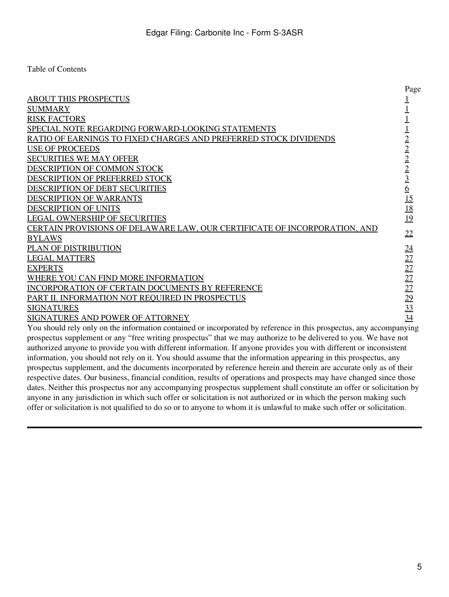Table of Contents

|                                                                                                                                                                                                                                                                                                                                                                                                                                                              | Page           |
|--------------------------------------------------------------------------------------------------------------------------------------------------------------------------------------------------------------------------------------------------------------------------------------------------------------------------------------------------------------------------------------------------------------------------------------------------------------|----------------|
| <b>ABOUT THIS PROSPECTUS</b>                                                                                                                                                                                                                                                                                                                                                                                                                                 |                |
| <b>SUMMARY</b>                                                                                                                                                                                                                                                                                                                                                                                                                                               |                |
| <b>RISK FACTORS</b>                                                                                                                                                                                                                                                                                                                                                                                                                                          |                |
| SPECIAL NOTE REGARDING FORWARD-LOOKING STATEMENTS                                                                                                                                                                                                                                                                                                                                                                                                            |                |
| RATIO OF EARNINGS TO FIXED CHARGES AND PREFERRED STOCK DIVIDENDS                                                                                                                                                                                                                                                                                                                                                                                             |                |
| <b>USE OF PROCEEDS</b>                                                                                                                                                                                                                                                                                                                                                                                                                                       | $\overline{2}$ |
| <b>SECURITIES WE MAY OFFER</b>                                                                                                                                                                                                                                                                                                                                                                                                                               | $\overline{2}$ |
| DESCRIPTION OF COMMON STOCK                                                                                                                                                                                                                                                                                                                                                                                                                                  | $\overline{2}$ |
| DESCRIPTION OF PREFERRED STOCK                                                                                                                                                                                                                                                                                                                                                                                                                               | $\overline{3}$ |
| <b>DESCRIPTION OF DEBT SECURITIES</b>                                                                                                                                                                                                                                                                                                                                                                                                                        | $\overline{6}$ |
| DESCRIPTION OF WARRANTS                                                                                                                                                                                                                                                                                                                                                                                                                                      | 15             |
| <b>DESCRIPTION OF UNITS</b>                                                                                                                                                                                                                                                                                                                                                                                                                                  | <u>18</u>      |
| <b>LEGAL OWNERSHIP OF SECURITIES</b>                                                                                                                                                                                                                                                                                                                                                                                                                         | 19             |
| CERTAIN PROVISIONS OF DELAWARE LAW, OUR CERTIFICATE OF INCORPORATION, AND                                                                                                                                                                                                                                                                                                                                                                                    | 22             |
| <b>BYLAWS</b>                                                                                                                                                                                                                                                                                                                                                                                                                                                |                |
| PLAN OF DISTRIBUTION                                                                                                                                                                                                                                                                                                                                                                                                                                         | 24             |
| <b>LEGAL MATTERS</b>                                                                                                                                                                                                                                                                                                                                                                                                                                         | 27             |
| <b>EXPERTS</b>                                                                                                                                                                                                                                                                                                                                                                                                                                               | 27             |
| WHERE YOU CAN FIND MORE INFORMATION                                                                                                                                                                                                                                                                                                                                                                                                                          | 27             |
| <b>INCORPORATION OF CERTAIN DOCUMENTS BY REFERENCE</b>                                                                                                                                                                                                                                                                                                                                                                                                       | 27             |
| PART II. INFORMATION NOT REQUIRED IN PROSPECTUS                                                                                                                                                                                                                                                                                                                                                                                                              | 29             |
| <b>SIGNATURES</b>                                                                                                                                                                                                                                                                                                                                                                                                                                            | 33             |
| SIGNATURES AND POWER OF ATTORNEY                                                                                                                                                                                                                                                                                                                                                                                                                             | 34             |
| You should rely only on the information contained or incorporated by reference in this prospectus, any accompanying                                                                                                                                                                                                                                                                                                                                          |                |
| $\mathcal{L} = \mathcal{L} = \mathcal{L} = \mathcal{L} = \mathcal{L} = \mathcal{L} = \mathcal{L} = \mathcal{L} = \mathcal{L} = \mathcal{L} = \mathcal{L} = \mathcal{L} = \mathcal{L} = \mathcal{L} = \mathcal{L} = \mathcal{L} = \mathcal{L} = \mathcal{L} = \mathcal{L} = \mathcal{L} = \mathcal{L} = \mathcal{L} = \mathcal{L} = \mathcal{L} = \mathcal{L} = \mathcal{L} = \mathcal{L} = \mathcal{L} = \mathcal{L} = \mathcal{L} = \mathcal{L} = \mathcal$ |                |

prospectus supplement or any "free writing prospectus" that we may authorize to be delivered to you. We have not authorized anyone to provide you with different information. If anyone provides you with different or inconsistent information, you should not rely on it. You should assume that the information appearing in this prospectus, any prospectus supplement, and the documents incorporated by reference herein and therein are accurate only as of their respective dates. Our business, financial condition, results of operations and prospects may have changed since those dates. Neither this prospectus nor any accompanying prospectus supplement shall constitute an offer or solicitation by anyone in any jurisdiction in which such offer or solicitation is not authorized or in which the person making such offer or solicitation is not qualified to do so or to anyone to whom it is unlawful to make such offer or solicitation.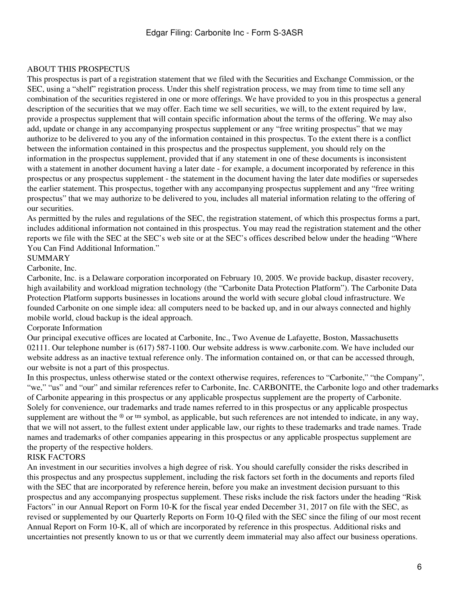### <span id="page-5-0"></span>ABOUT THIS PROSPECTUS

This prospectus is part of a registration statement that we filed with the Securities and Exchange Commission, or the SEC, using a "shelf" registration process. Under this shelf registration process, we may from time to time sell any combination of the securities registered in one or more offerings. We have provided to you in this prospectus a general description of the securities that we may offer. Each time we sell securities, we will, to the extent required by law, provide a prospectus supplement that will contain specific information about the terms of the offering. We may also add, update or change in any accompanying prospectus supplement or any "free writing prospectus" that we may authorize to be delivered to you any of the information contained in this prospectus. To the extent there is a conflict between the information contained in this prospectus and the prospectus supplement, you should rely on the information in the prospectus supplement, provided that if any statement in one of these documents is inconsistent with a statement in another document having a later date - for example, a document incorporated by reference in this prospectus or any prospectus supplement - the statement in the document having the later date modifies or supersedes the earlier statement. This prospectus, together with any accompanying prospectus supplement and any "free writing prospectus" that we may authorize to be delivered to you, includes all material information relating to the offering of our securities.

As permitted by the rules and regulations of the SEC, the registration statement, of which this prospectus forms a part, includes additional information not contained in this prospectus. You may read the registration statement and the other reports we file with the SEC at the SEC's web site or at the SEC's offices described below under the heading "Where You Can Find Additional Information."

#### <span id="page-5-1"></span>SUMMARY

Carbonite, Inc.

Carbonite, Inc. is a Delaware corporation incorporated on February 10, 2005. We provide backup, disaster recovery, high availability and workload migration technology (the "Carbonite Data Protection Platform"). The Carbonite Data Protection Platform supports businesses in locations around the world with secure global cloud infrastructure. We founded Carbonite on one simple idea: all computers need to be backed up, and in our always connected and highly mobile world, cloud backup is the ideal approach.

Corporate Information

Our principal executive offices are located at Carbonite, Inc., Two Avenue de Lafayette, Boston, Massachusetts 02111. Our telephone number is (617) 587-1100. Our website address is www.carbonite.com. We have included our website address as an inactive textual reference only. The information contained on, or that can be accessed through, our website is not a part of this prospectus.

In this prospectus, unless otherwise stated or the context otherwise requires, references to "Carbonite," "the Company", "we," "us" and "our" and similar references refer to Carbonite, Inc. CARBONITE, the Carbonite logo and other trademarks of Carbonite appearing in this prospectus or any applicable prospectus supplement are the property of Carbonite. Solely for convenience, our trademarks and trade names referred to in this prospectus or any applicable prospectus supplement are without the  $\infty$  or  $\mathfrak{m}$  symbol, as applicable, but such references are not intended to indicate, in any way, that we will not assert, to the fullest extent under applicable law, our rights to these trademarks and trade names. Trade names and trademarks of other companies appearing in this prospectus or any applicable prospectus supplement are the property of the respective holders.

## <span id="page-5-2"></span>RISK FACTORS

<span id="page-5-3"></span>An investment in our securities involves a high degree of risk. You should carefully consider the risks described in this prospectus and any prospectus supplement, including the risk factors set forth in the documents and reports filed with the SEC that are incorporated by reference herein, before you make an investment decision pursuant to this prospectus and any accompanying prospectus supplement. These risks include the risk factors under the heading "Risk Factors" in our Annual Report on Form 10-K for the fiscal year ended December 31, 2017 on file with the SEC, as revised or supplemented by our Quarterly Reports on Form 10-Q filed with the SEC since the filing of our most recent Annual Report on Form 10-K, all of which are incorporated by reference in this prospectus. Additional risks and uncertainties not presently known to us or that we currently deem immaterial may also affect our business operations.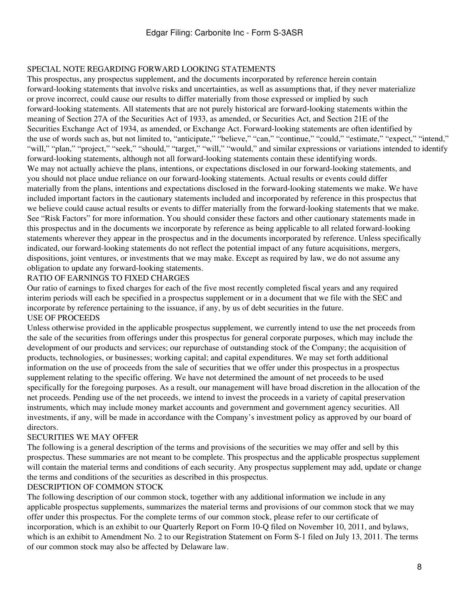## SPECIAL NOTE REGARDING FORWARD LOOKING STATEMENTS

This prospectus, any prospectus supplement, and the documents incorporated by reference herein contain forward-looking statements that involve risks and uncertainties, as well as assumptions that, if they never materialize or prove incorrect, could cause our results to differ materially from those expressed or implied by such forward-looking statements. All statements that are not purely historical are forward-looking statements within the meaning of Section 27A of the Securities Act of 1933, as amended, or Securities Act, and Section 21E of the Securities Exchange Act of 1934, as amended, or Exchange Act. Forward-looking statements are often identified by the use of words such as, but not limited to, "anticipate," "believe," "can," "continue," "could," "estimate," "expect," "intend," "will," "plan," "project," "seek," "should," "target," "will," "would," and similar expressions or variations intended to identify forward-looking statements, although not all forward-looking statements contain these identifying words. We may not actually achieve the plans, intentions, or expectations disclosed in our forward-looking statements, and you should not place undue reliance on our forward-looking statements. Actual results or events could differ materially from the plans, intentions and expectations disclosed in the forward-looking statements we make. We have included important factors in the cautionary statements included and incorporated by reference in this prospectus that we believe could cause actual results or events to differ materially from the forward-looking statements that we make. See "Risk Factors" for more information. You should consider these factors and other cautionary statements made in this prospectus and in the documents we incorporate by reference as being applicable to all related forward-looking statements wherever they appear in the prospectus and in the documents incorporated by reference. Unless specifically indicated, our forward-looking statements do not reflect the potential impact of any future acquisitions, mergers, dispositions, joint ventures, or investments that we may make. Except as required by law, we do not assume any obligation to update any forward-looking statements.

#### <span id="page-7-0"></span>RATIO OF EARNINGS TO FIXED CHARGES

Our ratio of earnings to fixed charges for each of the five most recently completed fiscal years and any required interim periods will each be specified in a prospectus supplement or in a document that we file with the SEC and incorporate by reference pertaining to the issuance, if any, by us of debt securities in the future. USE OF PROCEEDS

<span id="page-7-1"></span>Unless otherwise provided in the applicable prospectus supplement, we currently intend to use the net proceeds from the sale of the securities from offerings under this prospectus for general corporate purposes, which may include the development of our products and services; our repurchase of outstanding stock of the Company; the acquisition of products, technologies, or businesses; working capital; and capital expenditures. We may set forth additional information on the use of proceeds from the sale of securities that we offer under this prospectus in a prospectus supplement relating to the specific offering. We have not determined the amount of net proceeds to be used specifically for the foregoing purposes. As a result, our management will have broad discretion in the allocation of the net proceeds. Pending use of the net proceeds, we intend to invest the proceeds in a variety of capital preservation instruments, which may include money market accounts and government and government agency securities. All investments, if any, will be made in accordance with the Company's investment policy as approved by our board of directors.

## <span id="page-7-2"></span>SECURITIES WE MAY OFFER

The following is a general description of the terms and provisions of the securities we may offer and sell by this prospectus. These summaries are not meant to be complete. This prospectus and the applicable prospectus supplement will contain the material terms and conditions of each security. Any prospectus supplement may add, update or change the terms and conditions of the securities as described in this prospectus.

#### <span id="page-7-3"></span>DESCRIPTION OF COMMON STOCK

The following description of our common stock, together with any additional information we include in any applicable prospectus supplements, summarizes the material terms and provisions of our common stock that we may offer under this prospectus. For the complete terms of our common stock, please refer to our certificate of incorporation, which is an exhibit to our Quarterly Report on Form 10-Q filed on November 10, 2011, and bylaws, which is an exhibit to Amendment No. 2 to our Registration Statement on Form S-1 filed on July 13, 2011. The terms of our common stock may also be affected by Delaware law.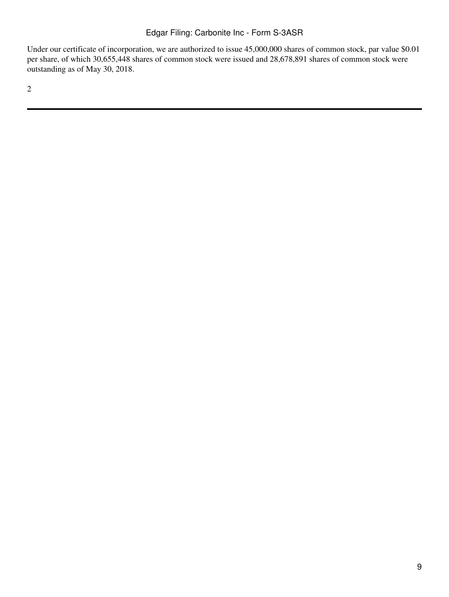Under our certificate of incorporation, we are authorized to issue 45,000,000 shares of common stock, par value \$0.01 per share, of which 30,655,448 shares of common stock were issued and 28,678,891 shares of common stock were outstanding as of May 30, 2018.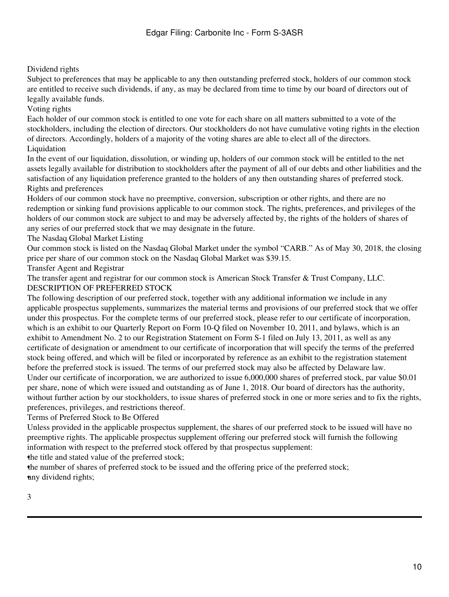## Dividend rights

Subject to preferences that may be applicable to any then outstanding preferred stock, holders of our common stock are entitled to receive such dividends, if any, as may be declared from time to time by our board of directors out of legally available funds.

Voting rights

Each holder of our common stock is entitled to one vote for each share on all matters submitted to a vote of the stockholders, including the election of directors. Our stockholders do not have cumulative voting rights in the election of directors. Accordingly, holders of a majority of the voting shares are able to elect all of the directors. Liquidation

In the event of our liquidation, dissolution, or winding up, holders of our common stock will be entitled to the net assets legally available for distribution to stockholders after the payment of all of our debts and other liabilities and the satisfaction of any liquidation preference granted to the holders of any then outstanding shares of preferred stock. Rights and preferences

Holders of our common stock have no preemptive, conversion, subscription or other rights, and there are no redemption or sinking fund provisions applicable to our common stock. The rights, preferences, and privileges of the holders of our common stock are subject to and may be adversely affected by, the rights of the holders of shares of any series of our preferred stock that we may designate in the future.

The Nasdaq Global Market Listing

Our common stock is listed on the Nasdaq Global Market under the symbol "CARB." As of May 30, 2018, the closing price per share of our common stock on the Nasdaq Global Market was \$39.15.

Transfer Agent and Registrar

<span id="page-9-0"></span>The transfer agent and registrar for our common stock is American Stock Transfer & Trust Company, LLC. DESCRIPTION OF PREFERRED STOCK

The following description of our preferred stock, together with any additional information we include in any applicable prospectus supplements, summarizes the material terms and provisions of our preferred stock that we offer under this prospectus. For the complete terms of our preferred stock, please refer to our certificate of incorporation, which is an exhibit to our Quarterly Report on Form 10-Q filed on November 10, 2011, and bylaws, which is an exhibit to Amendment No. 2 to our Registration Statement on Form S-1 filed on July 13, 2011, as well as any certificate of designation or amendment to our certificate of incorporation that will specify the terms of the preferred stock being offered, and which will be filed or incorporated by reference as an exhibit to the registration statement before the preferred stock is issued. The terms of our preferred stock may also be affected by Delaware law. Under our certificate of incorporation, we are authorized to issue 6,000,000 shares of preferred stock, par value \$0.01 per share, none of which were issued and outstanding as of June 1, 2018. Our board of directors has the authority, without further action by our stockholders, to issue shares of preferred stock in one or more series and to fix the rights, preferences, privileges, and restrictions thereof.

Terms of Preferred Stock to Be Offered

Unless provided in the applicable prospectus supplement, the shares of our preferred stock to be issued will have no preemptive rights. The applicable prospectus supplement offering our preferred stock will furnish the following information with respect to the preferred stock offered by that prospectus supplement:

the title and stated value of the preferred stock;

•the number of shares of preferred stock to be issued and the offering price of the preferred stock; any dividend rights;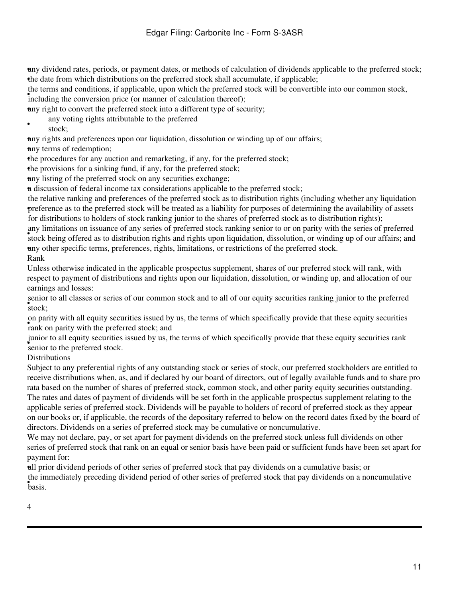•any dividend rates, periods, or payment dates, or methods of calculation of dividends applicable to the preferred stock; •the date from which distributions on the preferred stock shall accumulate, if applicable;

including the conditions, in approache, apon which the preferred including the conversion price (or manner of calculation thereof); the terms and conditions, if applicable, upon which the preferred stock will be convertible into our common stock,

•any right to convert the preferred stock into a different type of security;

any voting rights attributable to the preferred

• stock;

•any rights and preferences upon our liquidation, dissolution or winding up of our affairs;

•any terms of redemption;

•the procedures for any auction and remarketing, if any, for the preferred stock;

the provisions for a sinking fund, if any, for the preferred stock;

•any listing of the preferred stock on any securities exchange;

•a discussion of federal income tax considerations applicable to the preferred stock;

• preference as to the preferred stock will be treated as a liability for purposes of determining the availability of assets the relative ranking and preferences of the preferred stock as to distribution rights (including whether any liquidation for distributions to holders of stock ranking junior to the shares of preferred stock as to distribution rights);

any initiations on issuance or any series or preferred stock rainting senior to or on party with the series or preferred stock being offered as to distribution rights and rights upon liquidation, dissolution, or winding up any limitations on issuance of any series of preferred stock ranking senior to or on parity with the series of preferred •any other specific terms, preferences, rights, limitations, or restrictions of the preferred stock.

Rank

Unless otherwise indicated in the applicable prospectus supplement, shares of our preferred stock will rank, with respect to payment of distributions and rights upon our liquidation, dissolution, or winding up, and allocation of our earnings and losses:

• stock; senior to all classes or series of our common stock and to all of our equity securities ranking junior to the preferred

If party with an equity securities issued by rank on parity with the preferred stock; and on parity with all equity securities issued by us, the terms of which specifically provide that these equity securities

senior to the preferred stock. junior to all equity securities issued by us, the terms of which specifically provide that these equity securities rank

Distributions

Subject to any preferential rights of any outstanding stock or series of stock, our preferred stockholders are entitled to receive distributions when, as, and if declared by our board of directors, out of legally available funds and to share pro rata based on the number of shares of preferred stock, common stock, and other parity equity securities outstanding. The rates and dates of payment of dividends will be set forth in the applicable prospectus supplement relating to the applicable series of preferred stock. Dividends will be payable to holders of record of preferred stock as they appear on our books or, if applicable, the records of the depositary referred to below on the record dates fixed by the board of directors. Dividends on a series of preferred stock may be cumulative or noncumulative.

We may not declare, pay, or set apart for payment dividends on the preferred stock unless full dividends on other series of preferred stock that rank on an equal or senior basis have been paid or sufficient funds have been set apart for payment for:

•all prior dividend periods of other series of preferred stock that pay dividends on a cumulative basis; or • basis. the immediately preceding dividend period of other series of preferred stock that pay dividends on a noncumulative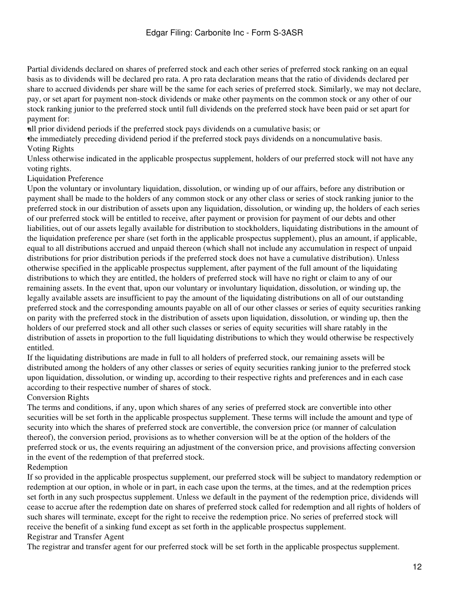Partial dividends declared on shares of preferred stock and each other series of preferred stock ranking on an equal basis as to dividends will be declared pro rata. A pro rata declaration means that the ratio of dividends declared per share to accrued dividends per share will be the same for each series of preferred stock. Similarly, we may not declare, pay, or set apart for payment non-stock dividends or make other payments on the common stock or any other of our stock ranking junior to the preferred stock until full dividends on the preferred stock have been paid or set apart for payment for:

•all prior dividend periods if the preferred stock pays dividends on a cumulative basis; or

•the immediately preceding dividend period if the preferred stock pays dividends on a noncumulative basis. Voting Rights

Unless otherwise indicated in the applicable prospectus supplement, holders of our preferred stock will not have any voting rights.

Liquidation Preference

Upon the voluntary or involuntary liquidation, dissolution, or winding up of our affairs, before any distribution or payment shall be made to the holders of any common stock or any other class or series of stock ranking junior to the preferred stock in our distribution of assets upon any liquidation, dissolution, or winding up, the holders of each series of our preferred stock will be entitled to receive, after payment or provision for payment of our debts and other liabilities, out of our assets legally available for distribution to stockholders, liquidating distributions in the amount of the liquidation preference per share (set forth in the applicable prospectus supplement), plus an amount, if applicable, equal to all distributions accrued and unpaid thereon (which shall not include any accumulation in respect of unpaid distributions for prior distribution periods if the preferred stock does not have a cumulative distribution). Unless otherwise specified in the applicable prospectus supplement, after payment of the full amount of the liquidating distributions to which they are entitled, the holders of preferred stock will have no right or claim to any of our remaining assets. In the event that, upon our voluntary or involuntary liquidation, dissolution, or winding up, the legally available assets are insufficient to pay the amount of the liquidating distributions on all of our outstanding preferred stock and the corresponding amounts payable on all of our other classes or series of equity securities ranking on parity with the preferred stock in the distribution of assets upon liquidation, dissolution, or winding up, then the holders of our preferred stock and all other such classes or series of equity securities will share ratably in the distribution of assets in proportion to the full liquidating distributions to which they would otherwise be respectively entitled.

If the liquidating distributions are made in full to all holders of preferred stock, our remaining assets will be distributed among the holders of any other classes or series of equity securities ranking junior to the preferred stock upon liquidation, dissolution, or winding up, according to their respective rights and preferences and in each case according to their respective number of shares of stock.

#### Conversion Rights

The terms and conditions, if any, upon which shares of any series of preferred stock are convertible into other securities will be set forth in the applicable prospectus supplement. These terms will include the amount and type of security into which the shares of preferred stock are convertible, the conversion price (or manner of calculation thereof), the conversion period, provisions as to whether conversion will be at the option of the holders of the preferred stock or us, the events requiring an adjustment of the conversion price, and provisions affecting conversion in the event of the redemption of that preferred stock.

## Redemption

If so provided in the applicable prospectus supplement, our preferred stock will be subject to mandatory redemption or redemption at our option, in whole or in part, in each case upon the terms, at the times, and at the redemption prices set forth in any such prospectus supplement. Unless we default in the payment of the redemption price, dividends will cease to accrue after the redemption date on shares of preferred stock called for redemption and all rights of holders of such shares will terminate, except for the right to receive the redemption price. No series of preferred stock will receive the benefit of a sinking fund except as set forth in the applicable prospectus supplement. Registrar and Transfer Agent

The registrar and transfer agent for our preferred stock will be set forth in the applicable prospectus supplement.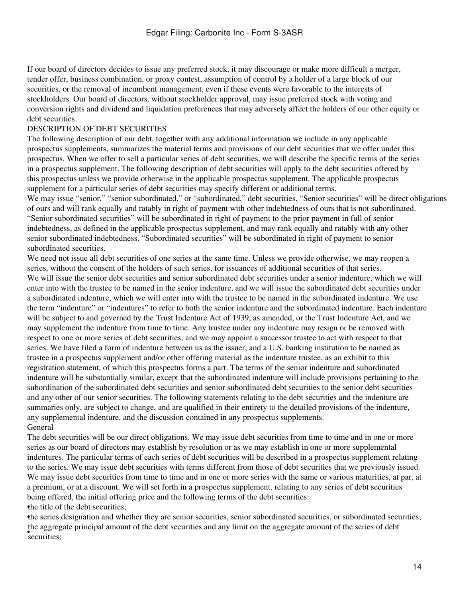If our board of directors decides to issue any preferred stock, it may discourage or make more difficult a merger, tender offer, business combination, or proxy contest, assumption of control by a holder of a large block of our securities, or the removal of incumbent management, even if these events were favorable to the interests of stockholders. Our board of directors, without stockholder approval, may issue preferred stock with voting and conversion rights and dividend and liquidation preferences that may adversely affect the holders of our other equity or debt securities.

#### <span id="page-13-0"></span>DESCRIPTION OF DEBT SECURITIES

The following description of our debt, together with any additional information we include in any applicable prospectus supplements, summarizes the material terms and provisions of our debt securities that we offer under this prospectus. When we offer to sell a particular series of debt securities, we will describe the specific terms of the series in a prospectus supplement. The following description of debt securities will apply to the debt securities offered by this prospectus unless we provide otherwise in the applicable prospectus supplement. The applicable prospectus supplement for a particular series of debt securities may specify different or additional terms.

We may issue "senior," "senior subordinated," or "subordinated," debt securities. "Senior securities" will be direct obligations of ours and will rank equally and ratably in right of payment with other indebtedness of ours that is not subordinated. "Senior subordinated securities" will be subordinated in right of payment to the prior payment in full of senior indebtedness, as defined in the applicable prospectus supplement, and may rank equally and ratably with any other senior subordinated indebtedness. "Subordinated securities" will be subordinated in right of payment to senior subordinated securities.

We need not issue all debt securities of one series at the same time. Unless we provide otherwise, we may reopen a series, without the consent of the holders of such series, for issuances of additional securities of that series. We will issue the senior debt securities and senior subordinated debt securities under a senior indenture, which we will enter into with the trustee to be named in the senior indenture, and we will issue the subordinated debt securities under a subordinated indenture, which we will enter into with the trustee to be named in the subordinated indenture. We use the term "indenture" or "indentures" to refer to both the senior indenture and the subordinated indenture. Each indenture will be subject to and governed by the Trust Indenture Act of 1939, as amended, or the Trust Indenture Act, and we may supplement the indenture from time to time. Any trustee under any indenture may resign or be removed with respect to one or more series of debt securities, and we may appoint a successor trustee to act with respect to that series. We have filed a form of indenture between us as the issuer, and a U.S. banking institution to be named as trustee in a prospectus supplement and/or other offering material as the indenture trustee, as an exhibit to this registration statement, of which this prospectus forms a part. The terms of the senior indenture and subordinated indenture will be substantially similar, except that the subordinated indenture will include provisions pertaining to the subordination of the subordinated debt securities and senior subordinated debt securities to the senior debt securities and any other of our senior securities. The following statements relating to the debt securities and the indenture are summaries only, are subject to change, and are qualified in their entirety to the detailed provisions of the indenture, any supplemental indenture, and the discussion contained in any prospectus supplements. General

The debt securities will be our direct obligations. We may issue debt securities from time to time and in one or more series as our board of directors may establish by resolution or as we may establish in one or more supplemental indentures. The particular terms of each series of debt securities will be described in a prospectus supplement relating to the series. We may issue debt securities with terms different from those of debt securities that we previously issued. We may issue debt securities from time to time and in one or more series with the same or various maturities, at par, at a premium, or at a discount. We will set forth in a prospectus supplement, relating to any series of debt securities being offered, the initial offering price and the following terms of the debt securities: the title of the debt securities;

•the series designation and whether they are senior securities, senior subordinated securities, or subordinated securities; • securities; the aggregate principal amount of the debt securities and any limit on the aggregate amount of the series of debt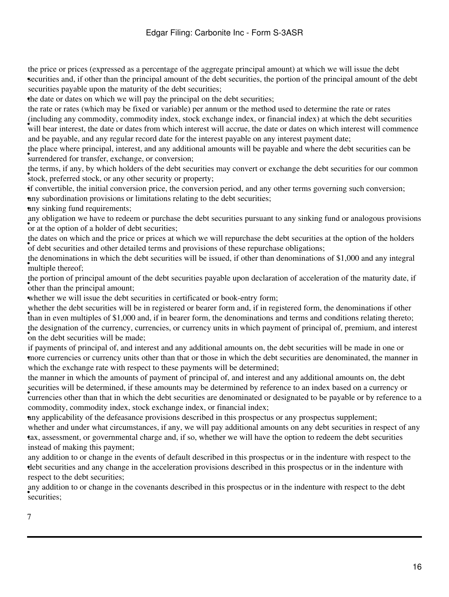securities and, if other than the principal amount of the debt securities, the portion of the principal amount of the debt the price or prices (expressed as a percentage of the aggregate principal amount) at which we will issue the debt securities payable upon the maturity of the debt securities;

•the date or dates on which we will pay the principal on the debt securities;

will bear interest, the date or dates from which interest will accrue, the date or dates on which interest will commence the rate or rates (which may be fixed or variable) per annum or the method used to determine the rate or rates (including any commodity, commodity index, stock exchange index, or financial index) at which the debt securities and be payable, and any regular record date for the interest payable on any interest payment date;

surrendered for transfer, exchange, or conversion; the place where principal, interest, and any additional amounts will be payable and where the debt securities can be

stock, preferred stock, or any other security or property; the terms, if any, by which holders of the debt securities may convert or exchange the debt securities for our common

•if convertible, the initial conversion price, the conversion period, and any other terms governing such conversion; •any subordination provisions or limitations relating to the debt securities;

any sinking fund requirements;

or at the option of a holder of debt securities; any obligation we have to redeem or purchase the debt securities pursuant to any sinking fund or analogous provisions

For dates on which and the price of prices at which we will reparentle the deed securities of debt securities and other detailed terms and provisions of these repurchase obligations; the dates on which and the price or prices at which we will repurchase the debt securities at the option of the holders

multiple thereof; the denominations in which the debt securities will be issued, if other than denominations of \$1,000 and any integral

other than the principal amount; the portion of principal amount of the debt securities payable upon declaration of acceleration of the maturity date, if

whether we will issue the debt securities in certificated or book-entry form;

whener the deet seemines with ce in registered of octaer form and, if in registered form, the denominations if other<br>than in even multiples of \$1,000 and, if in bearer form, the denominations and terms and conditions relat whether the debt securities will be in registered or bearer form and, if in registered form, the denominations if other on the debt securities will be made; the designation of the currency, currencies, or currency units in which payment of principal of, premium, and interest

• more currencies or currency units other than that or those in which the debt securities are denominated, the manner in if payments of principal of, and interest and any additional amounts on, the debt securities will be made in one or which the exchange rate with respect to these payments will be determined;

securities will be determined, it also allocates may be determined by reference to an index based on a carrency of currencies other than that in which the debt securities are denominated or designated to be payable or by r the manner in which the amounts of payment of principal of, and interest and any additional amounts on, the debt securities will be determined, if these amounts may be determined by reference to an index based on a currency or commodity, commodity index, stock exchange index, or financial index;

•any applicability of the defeasance provisions described in this prospectus or any prospectus supplement; • tax, assessment, or governmental charge and, if so, whether we will have the option to redeem the debt securities whether and under what circumstances, if any, we will pay additional amounts on any debt securities in respect of any instead of making this payment;

• debt securities and any change in the acceleration provisions described in this prospectus or in the indenture with any addition to or change in the events of default described in this prospectus or in the indenture with respect to the respect to the debt securities;

securities; any addition to or change in the covenants described in this prospectus or in the indenture with respect to the debt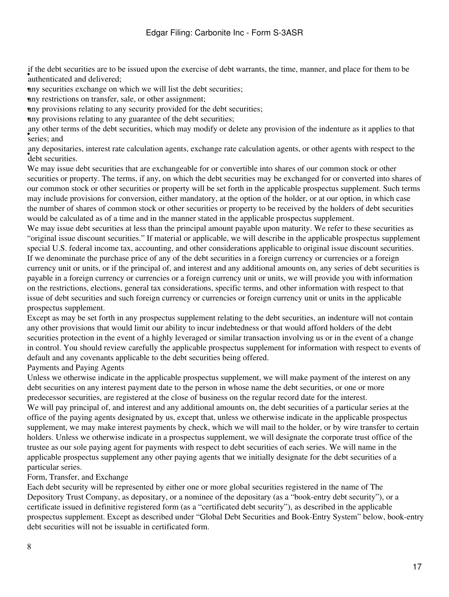• authenticated and delivered; if the debt securities are to be issued upon the exercise of debt warrants, the time, manner, and place for them to be

•any securities exchange on which we will list the debt securities;

•any restrictions on transfer, sale, or other assignment;

•any provisions relating to any security provided for the debt securities;

•any provisions relating to any guarantee of the debt securities;

• series; and any other terms of the debt securities, which may modify or delete any provision of the indenture as it applies to that

debt securities. any depositaries, interest rate calculation agents, exchange rate calculation agents, or other agents with respect to the

We may issue debt securities that are exchangeable for or convertible into shares of our common stock or other securities or property. The terms, if any, on which the debt securities may be exchanged for or converted into shares of our common stock or other securities or property will be set forth in the applicable prospectus supplement. Such terms may include provisions for conversion, either mandatory, at the option of the holder, or at our option, in which case the number of shares of common stock or other securities or property to be received by the holders of debt securities would be calculated as of a time and in the manner stated in the applicable prospectus supplement.

We may issue debt securities at less than the principal amount payable upon maturity. We refer to these securities as "original issue discount securities." If material or applicable, we will describe in the applicable prospectus supplement special U.S. federal income tax, accounting, and other considerations applicable to original issue discount securities. If we denominate the purchase price of any of the debt securities in a foreign currency or currencies or a foreign currency unit or units, or if the principal of, and interest and any additional amounts on, any series of debt securities is payable in a foreign currency or currencies or a foreign currency unit or units, we will provide you with information on the restrictions, elections, general tax considerations, specific terms, and other information with respect to that issue of debt securities and such foreign currency or currencies or foreign currency unit or units in the applicable prospectus supplement.

Except as may be set forth in any prospectus supplement relating to the debt securities, an indenture will not contain any other provisions that would limit our ability to incur indebtedness or that would afford holders of the debt securities protection in the event of a highly leveraged or similar transaction involving us or in the event of a change in control. You should review carefully the applicable prospectus supplement for information with respect to events of default and any covenants applicable to the debt securities being offered.

Payments and Paying Agents

Unless we otherwise indicate in the applicable prospectus supplement, we will make payment of the interest on any debt securities on any interest payment date to the person in whose name the debt securities, or one or more predecessor securities, are registered at the close of business on the regular record date for the interest. We will pay principal of, and interest and any additional amounts on, the debt securities of a particular series at the office of the paying agents designated by us, except that, unless we otherwise indicate in the applicable prospectus supplement, we may make interest payments by check, which we will mail to the holder, or by wire transfer to certain holders. Unless we otherwise indicate in a prospectus supplement, we will designate the corporate trust office of the

trustee as our sole paying agent for payments with respect to debt securities of each series. We will name in the applicable prospectus supplement any other paying agents that we initially designate for the debt securities of a particular series.

## Form, Transfer, and Exchange

Each debt security will be represented by either one or more global securities registered in the name of The Depository Trust Company, as depositary, or a nominee of the depositary (as a "book-entry debt security"), or a certificate issued in definitive registered form (as a "certificated debt security"), as described in the applicable prospectus supplement. Except as described under "Global Debt Securities and Book-Entry System" below, book-entry debt securities will not be issuable in certificated form.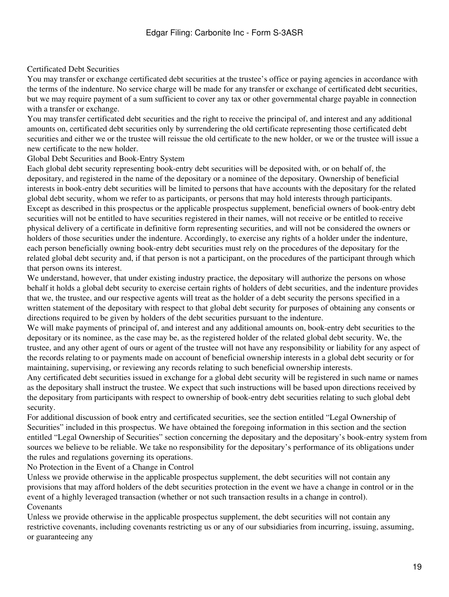## Certificated Debt Securities

You may transfer or exchange certificated debt securities at the trustee's office or paying agencies in accordance with the terms of the indenture. No service charge will be made for any transfer or exchange of certificated debt securities, but we may require payment of a sum sufficient to cover any tax or other governmental charge payable in connection with a transfer or exchange.

You may transfer certificated debt securities and the right to receive the principal of, and interest and any additional amounts on, certificated debt securities only by surrendering the old certificate representing those certificated debt securities and either we or the trustee will reissue the old certificate to the new holder, or we or the trustee will issue a new certificate to the new holder.

#### Global Debt Securities and Book-Entry System

Each global debt security representing book-entry debt securities will be deposited with, or on behalf of, the depositary, and registered in the name of the depositary or a nominee of the depositary. Ownership of beneficial interests in book-entry debt securities will be limited to persons that have accounts with the depositary for the related global debt security, whom we refer to as participants, or persons that may hold interests through participants. Except as described in this prospectus or the applicable prospectus supplement, beneficial owners of book-entry debt securities will not be entitled to have securities registered in their names, will not receive or be entitled to receive physical delivery of a certificate in definitive form representing securities, and will not be considered the owners or holders of those securities under the indenture. Accordingly, to exercise any rights of a holder under the indenture, each person beneficially owning book-entry debt securities must rely on the procedures of the depositary for the related global debt security and, if that person is not a participant, on the procedures of the participant through which that person owns its interest.

We understand, however, that under existing industry practice, the depositary will authorize the persons on whose behalf it holds a global debt security to exercise certain rights of holders of debt securities, and the indenture provides that we, the trustee, and our respective agents will treat as the holder of a debt security the persons specified in a written statement of the depositary with respect to that global debt security for purposes of obtaining any consents or directions required to be given by holders of the debt securities pursuant to the indenture.

We will make payments of principal of, and interest and any additional amounts on, book-entry debt securities to the depositary or its nominee, as the case may be, as the registered holder of the related global debt security. We, the trustee, and any other agent of ours or agent of the trustee will not have any responsibility or liability for any aspect of the records relating to or payments made on account of beneficial ownership interests in a global debt security or for maintaining, supervising, or reviewing any records relating to such beneficial ownership interests.

Any certificated debt securities issued in exchange for a global debt security will be registered in such name or names as the depositary shall instruct the trustee. We expect that such instructions will be based upon directions received by the depositary from participants with respect to ownership of book-entry debt securities relating to such global debt security.

For additional discussion of book entry and certificated securities, see the section entitled "Legal Ownership of Securities" included in this prospectus. We have obtained the foregoing information in this section and the section entitled "Legal Ownership of Securities" section concerning the depositary and the depositary's book-entry system from sources we believe to be reliable. We take no responsibility for the depositary's performance of its obligations under the rules and regulations governing its operations.

No Protection in the Event of a Change in Control

Unless we provide otherwise in the applicable prospectus supplement, the debt securities will not contain any provisions that may afford holders of the debt securities protection in the event we have a change in control or in the event of a highly leveraged transaction (whether or not such transaction results in a change in control). Covenants

Unless we provide otherwise in the applicable prospectus supplement, the debt securities will not contain any restrictive covenants, including covenants restricting us or any of our subsidiaries from incurring, issuing, assuming, or guaranteeing any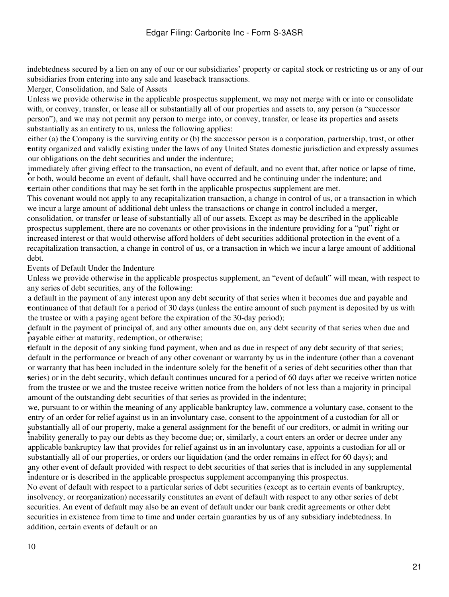indebtedness secured by a lien on any of our or our subsidiaries' property or capital stock or restricting us or any of our subsidiaries from entering into any sale and leaseback transactions.

Merger, Consolidation, and Sale of Assets

Unless we provide otherwise in the applicable prospectus supplement, we may not merge with or into or consolidate with, or convey, transfer, or lease all or substantially all of our properties and assets to, any person (a "successor person"), and we may not permit any person to merge into, or convey, transfer, or lease its properties and assets substantially as an entirety to us, unless the following applies:

• entity organized and validly existing under the laws of any United States domestic jurisdiction and expressly assumes either (a) the Company is the surviving entity or (b) the successor person is a corporation, partnership, trust, or other our obligations on the debt securities and under the indenture;

or both, would become an event of default, shall have occurred and be continuing under the indenture; and or both, would become an event of default, shall have occurred and be continuing under the indenture; and immediately after giving effect to the transaction, no event of default, and no event that, after notice or lapse of time, •certain other conditions that may be set forth in the applicable prospectus supplement are met.

This covenant would not apply to any recapitalization transaction, a change in control of us, or a transaction in which we incur a large amount of additional debt unless the transactions or change in control included a merger, consolidation, or transfer or lease of substantially all of our assets. Except as may be described in the applicable prospectus supplement, there are no covenants or other provisions in the indenture providing for a "put" right or increased interest or that would otherwise afford holders of debt securities additional protection in the event of a recapitalization transaction, a change in control of us, or a transaction in which we incur a large amount of additional debt.

Events of Default Under the Indenture

Unless we provide otherwise in the applicable prospectus supplement, an "event of default" will mean, with respect to any series of debt securities, any of the following:

• continuance of that default for a period of 30 days (unless the entire amount of such payment is deposited by us with a default in the payment of any interest upon any debt security of that series when it becomes due and payable and the trustee or with a paying agent before the expiration of the 30-day period);

• payable either at maturity, redemption, or otherwise; default in the payment of principal of, and any other amounts due on, any debt security of that series when due and

•default in the deposit of any sinking fund payment, when and as due in respect of any debt security of that series; series) or in the debt security, which default continues uncured for a period of 60 days after we receive written notice default in the performance or breach of any other covenant or warranty by us in the indenture (other than a covenant or warranty that has been included in the indenture solely for the benefit of a series of debt securities other than that from the trustee or we and the trustee receive written notice from the holders of not less than a majority in principal amount of the outstanding debt securities of that series as provided in the indenture;

substantiary an or our property, make a general assignment for the benefit of our creditors, or admit in writing or<br>inability generally to pay our debts as they become due; or, similarly, a court enters an order or decree we, pursuant to or within the meaning of any applicable bankruptcy law, commence a voluntary case, consent to the entry of an order for relief against us in an involuntary case, consent to the appointment of a custodian for all or substantially all of our property, make a general assignment for the benefit of our creditors, or admit in writing our applicable bankruptcy law that provides for relief against us in an involuntary case, appoints a custodian for all or substantially all of our properties, or orders our liquidation (and the order remains in effect for 60 days); and in y other event or dentain provided with respect to deet seemines or that series that is included in indenture or is described in the applicable prospectus supplement accompanying this prospectus. any other event of default provided with respect to debt securities of that series that is included in any supplemental

No event of default with respect to a particular series of debt securities (except as to certain events of bankruptcy, insolvency, or reorganization) necessarily constitutes an event of default with respect to any other series of debt securities. An event of default may also be an event of default under our bank credit agreements or other debt securities in existence from time to time and under certain guaranties by us of any subsidiary indebtedness. In addition, certain events of default or an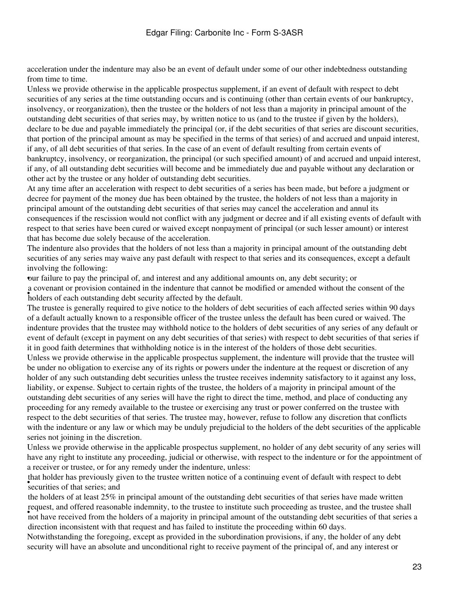acceleration under the indenture may also be an event of default under some of our other indebtedness outstanding from time to time.

Unless we provide otherwise in the applicable prospectus supplement, if an event of default with respect to debt securities of any series at the time outstanding occurs and is continuing (other than certain events of our bankruptcy, insolvency, or reorganization), then the trustee or the holders of not less than a majority in principal amount of the outstanding debt securities of that series may, by written notice to us (and to the trustee if given by the holders), declare to be due and payable immediately the principal (or, if the debt securities of that series are discount securities, that portion of the principal amount as may be specified in the terms of that series) of and accrued and unpaid interest, if any, of all debt securities of that series. In the case of an event of default resulting from certain events of bankruptcy, insolvency, or reorganization, the principal (or such specified amount) of and accrued and unpaid interest, if any, of all outstanding debt securities will become and be immediately due and payable without any declaration or other act by the trustee or any holder of outstanding debt securities.

At any time after an acceleration with respect to debt securities of a series has been made, but before a judgment or decree for payment of the money due has been obtained by the trustee, the holders of not less than a majority in principal amount of the outstanding debt securities of that series may cancel the acceleration and annul its consequences if the rescission would not conflict with any judgment or decree and if all existing events of default with respect to that series have been cured or waived except nonpayment of principal (or such lesser amount) or interest that has become due solely because of the acceleration.

The indenture also provides that the holders of not less than a majority in principal amount of the outstanding debt securities of any series may waive any past default with respect to that series and its consequences, except a default involving the following:

•our failure to pay the principal of, and interest and any additional amounts on, any debt security; or **A** covenant of provision contained in the intentitie that callidot be holders of each outstanding debt security affected by the default. a covenant or provision contained in the indenture that cannot be modified or amended without the consent of the

The trustee is generally required to give notice to the holders of debt securities of each affected series within 90 days of a default actually known to a responsible officer of the trustee unless the default has been cured or waived. The indenture provides that the trustee may withhold notice to the holders of debt securities of any series of any default or event of default (except in payment on any debt securities of that series) with respect to debt securities of that series if it in good faith determines that withholding notice is in the interest of the holders of those debt securities.

Unless we provide otherwise in the applicable prospectus supplement, the indenture will provide that the trustee will be under no obligation to exercise any of its rights or powers under the indenture at the request or discretion of any holder of any such outstanding debt securities unless the trustee receives indemnity satisfactory to it against any loss, liability, or expense. Subject to certain rights of the trustee, the holders of a majority in principal amount of the outstanding debt securities of any series will have the right to direct the time, method, and place of conducting any proceeding for any remedy available to the trustee or exercising any trust or power conferred on the trustee with respect to the debt securities of that series. The trustee may, however, refuse to follow any discretion that conflicts with the indenture or any law or which may be unduly prejudicial to the holders of the debt securities of the applicable series not joining in the discretion.

Unless we provide otherwise in the applicable prospectus supplement, no holder of any debt security of any series will have any right to institute any proceeding, judicial or otherwise, with respect to the indenture or for the appointment of a receiver or trustee, or for any remedy under the indenture, unless:

**Fraction** has previously g<br>securities of that series; and that holder has previously given to the trustee written notice of a continuing event of default with respect to debt

not have received from the holders of a majority in principal amount of the outstanding debt securities of that series a the holders of at least 25% in principal amount of the outstanding debt securities of that series have made written request, and offered reasonable indemnity, to the trustee to institute such proceeding as trustee, and the trustee shall direction inconsistent with that request and has failed to institute the proceeding within 60 days.

Notwithstanding the foregoing, except as provided in the subordination provisions, if any, the holder of any debt security will have an absolute and unconditional right to receive payment of the principal of, and any interest or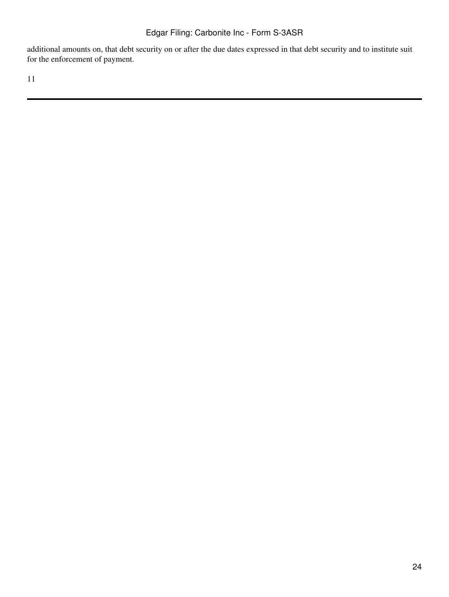additional amounts on, that debt security on or after the due dates expressed in that debt security and to institute suit for the enforcement of payment.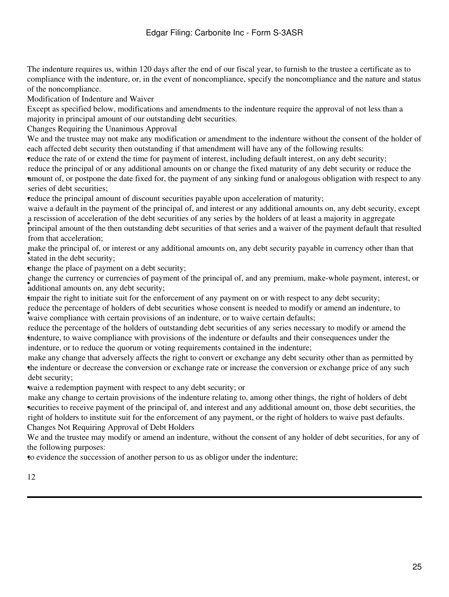The indenture requires us, within 120 days after the end of our fiscal year, to furnish to the trustee a certificate as to compliance with the indenture, or, in the event of noncompliance, specify the noncompliance and the nature and status of the noncompliance.

Modification of Indenture and Waiver

Except as specified below, modifications and amendments to the indenture require the approval of not less than a majority in principal amount of our outstanding debt securities.

Changes Requiring the Unanimous Approval

We and the trustee may not make any modification or amendment to the indenture without the consent of the holder of each affected debt security then outstanding if that amendment will have any of the following results:

•reduce the rate of or extend the time for payment of interest, including default interest, on any debt security; amount of, or postpone the date fixed for, the payment of any sinking fund or analogous obligation with respect to any reduce the principal of or any additional amounts on or change the fixed maturity of any debt security or reduce the series of debt securities;

•reduce the principal amount of discount securities payable upon acceleration of maturity;

waive a default in the payment of the principal of, and interest or any additional amounts on, any debt security, except a rescission of acceleration of the debt securities of any series by the holders of at least a majority in aggregate

**•** reseassion of decertation of the debt securities of any series by the holders of at least a majority in aggregate principal amount of the then outstanding debt securities of that series and a waiver of the payment defa from that acceleration;

• stated in the debt security; make the principal of, or interest or any additional amounts on, any debt security payable in currency other than that

**change the place of payment on a debt security;** 

additional amounts on, any debt security; change the currency or currencies of payment of the principal of, and any premium, make-whole payment, interest, or

•impair the right to initiate suit for the enforcement of any payment on or with respect to any debt security;

waive compliance with certain provisions of an indenture, or to waive certain defaults; reduce the percentage of holders of debt securities whose consent is needed to modify or amend an indenture, to

indenture, to waive compliance with provisions of the indenture or defaults and their consequences under the reduce the percentage of the holders of outstanding debt securities of any series necessary to modify or amend the indenture, or to reduce the quorum or voting requirements contained in the indenture;

• the indenture or decrease the conversion or exchange rate or increase the conversion or exchange price of any such make any change that adversely affects the right to convert or exchange any debt security other than as permitted by debt security;

•waive a redemption payment with respect to any debt security; or

securities to receive payment of the principal of, and interest and any additional amount on, those debt securities, the make any change to certain provisions of the indenture relating to, among other things, the right of holders of debt right of holders to institute suit for the enforcement of any payment, or the right of holders to waive past defaults. Changes Not Requiring Approval of Debt Holders

We and the trustee may modify or amend an indenture, without the consent of any holder of debt securities, for any of the following purposes:

•to evidence the succession of another person to us as obligor under the indenture;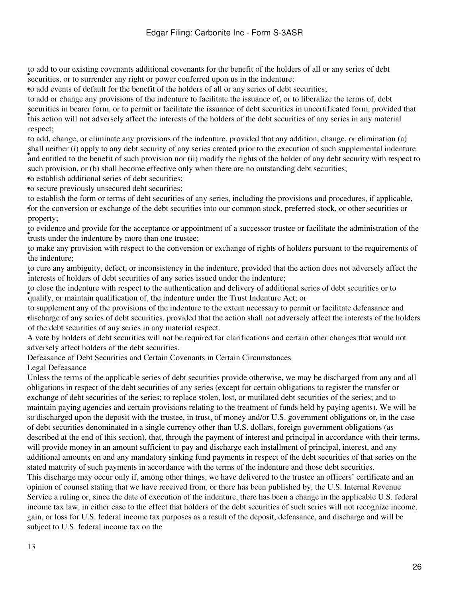securities, or to surrender any right or power conferred upon us in the indenture; to add to our existing covenants additional covenants for the benefit of the holders of all or any series of debt

•to add events of default for the benefit of the holders of all or any series of debt securities;

this action will not adversely affect the interests of the holders of the debt securities of any series in any material this action will not adversely affect the interests of the holders of the debt securities of any serie to add or change any provisions of the indenture to facilitate the issuance of, or to liberalize the terms of, debt securities in bearer form, or to permit or facilitate the issuance of debt securities in uncertificated form, provided that respect;

and entitled to the benefit of such provision nor (ii) modify the rights of the holder of any debt security with respect to and entitled to the benefit of such provision nor (ii) modify the rights of the holder of any debt to add, change, or eliminate any provisions of the indenture, provided that any addition, change, or elimination (a) shall neither (i) apply to any debt security of any series created prior to the execution of such supplemental indenture such provision, or (b) shall become effective only when there are no outstanding debt securities;

•to establish additional series of debt securities;

•to secure previously unsecured debt securities;

for the conversion or exchange of the debt securities into our common stock, preferred stock, or other securities or to establish the form or terms of debt securities of any series, including the provisions and procedures, if applicable, property;

to evidence and provide for the acceptance of appointusts under the indenture by more than one trustee; to evidence and provide for the acceptance or appointment of a successor trustee or facilitate the administration of the

the indenture; to make any provision with respect to the conversion or exchange of rights of holders pursuant to the requirements of

interests of holders of debt securities of any series issued under the indenture; to cure any ambiguity, defect, or inconsistency in the indenture, provided that the action does not adversely affect the

• qualify, or maintain qualification of, the indenture under the Trust Indenture Act; or to close the indenture with respect to the authentication and delivery of additional series of debt securities or to

discharge of any series of debt securities, provided that the action shall not adversely affect the interests of the holders to supplement any of the provisions of the indenture to the extent necessary to permit or facilitate defeasance and of the debt securities of any series in any material respect.

A vote by holders of debt securities will not be required for clarifications and certain other changes that would not adversely affect holders of the debt securities.

Defeasance of Debt Securities and Certain Covenants in Certain Circumstances

Legal Defeasance

Unless the terms of the applicable series of debt securities provide otherwise, we may be discharged from any and all obligations in respect of the debt securities of any series (except for certain obligations to register the transfer or exchange of debt securities of the series; to replace stolen, lost, or mutilated debt securities of the series; and to maintain paying agencies and certain provisions relating to the treatment of funds held by paying agents). We will be so discharged upon the deposit with the trustee, in trust, of money and/or U.S. government obligations or, in the case of debt securities denominated in a single currency other than U.S. dollars, foreign government obligations (as described at the end of this section), that, through the payment of interest and principal in accordance with their terms, will provide money in an amount sufficient to pay and discharge each installment of principal, interest, and any additional amounts on and any mandatory sinking fund payments in respect of the debt securities of that series on the stated maturity of such payments in accordance with the terms of the indenture and those debt securities.

This discharge may occur only if, among other things, we have delivered to the trustee an officers' certificate and an opinion of counsel stating that we have received from, or there has been published by, the U.S. Internal Revenue Service a ruling or, since the date of execution of the indenture, there has been a change in the applicable U.S. federal income tax law, in either case to the effect that holders of the debt securities of such series will not recognize income, gain, or loss for U.S. federal income tax purposes as a result of the deposit, defeasance, and discharge and will be subject to U.S. federal income tax on the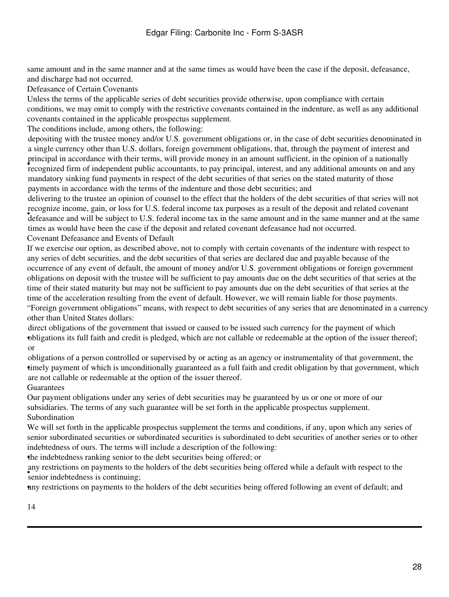same amount and in the same manner and at the same times as would have been the case if the deposit, defeasance, and discharge had not occurred.

Defeasance of Certain Covenants

Unless the terms of the applicable series of debt securities provide otherwise, upon compliance with certain conditions, we may omit to comply with the restrictive covenants contained in the indenture, as well as any additional covenants contained in the applicable prospectus supplement.

The conditions include, among others, the following:

principal in accordance with their terms, will provide money in an amount surfletch, in the optimon of a nationally recognized firm of independent public accountants, to pay principal, interest, and any additional amounts depositing with the trustee money and/or U.S. government obligations or, in the case of debt securities denominated in a single currency other than U.S. dollars, foreign government obligations, that, through the payment of interest and principal in accordance with their terms, will provide money in an amount sufficient, in the opinion of a nationally mandatory sinking fund payments in respect of the debt securities of that series on the stated maturity of those payments in accordance with the terms of the indenture and those debt securities; and

defeasance and will be subject to U.S. federal income tax in the same amount and in the same manner and at the same delivering to the trustee an opinion of counsel to the effect that the holders of the debt securities of that series will not recognize income, gain, or loss for U.S. federal income tax purposes as a result of the deposit and related covenant times as would have been the case if the deposit and related covenant defeasance had not occurred. Covenant Defeasance and Events of Default

If we exercise our option, as described above, not to comply with certain covenants of the indenture with respect to any series of debt securities, and the debt securities of that series are declared due and payable because of the occurrence of any event of default, the amount of money and/or U.S. government obligations or foreign government obligations on deposit with the trustee will be sufficient to pay amounts due on the debt securities of that series at the time of their stated maturity but may not be sufficient to pay amounts due on the debt securities of that series at the time of the acceleration resulting from the event of default. However, we will remain liable for those payments. "Foreign government obligations" means, with respect to debt securities of any series that are denominated in a currency other than United States dollars:

• obligations its full faith and credit is pledged, which are not callable or redeemable at the option of the issuer thereof; direct obligations of the government that issued or caused to be issued such currency for the payment of which or

• timely payment of which is unconditionally guaranteed as a full faith and credit obligation by that government, which obligations of a person controlled or supervised by or acting as an agency or instrumentality of that government, the are not callable or redeemable at the option of the issuer thereof.

Guarantees

Our payment obligations under any series of debt securities may be guaranteed by us or one or more of our subsidiaries. The terms of any such guarantee will be set forth in the applicable prospectus supplement. Subordination

We will set forth in the applicable prospectus supplement the terms and conditions, if any, upon which any series of senior subordinated securities or subordinated securities is subordinated to debt securities of another series or to other indebtedness of ours. The terms will include a description of the following:

•the indebtedness ranking senior to the debt securities being offered; or

• in restrictions on payments to the senior indebtedness is continuing; any restrictions on payments to the holders of the debt securities being offered while a default with respect to the

•any restrictions on payments to the holders of the debt securities being offered following an event of default; and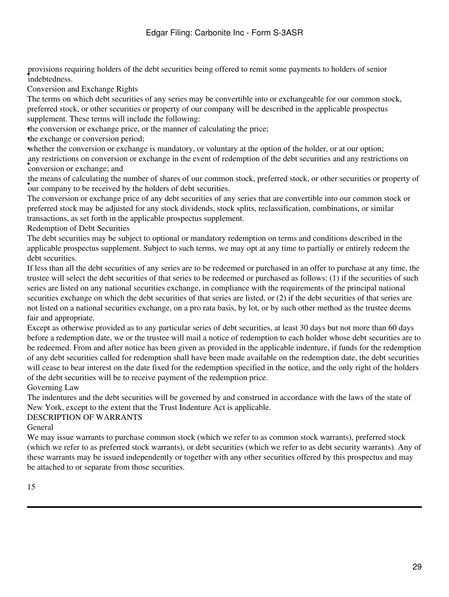• indebtedness. provisions requiring holders of the debt securities being offered to remit some payments to holders of senior

Conversion and Exchange Rights

The terms on which debt securities of any series may be convertible into or exchangeable for our common stock, preferred stock, or other securities or property of our company will be described in the applicable prospectus supplement. These terms will include the following:

•the conversion or exchange price, or the manner of calculating the price;

the exchange or conversion period;

whether the conversion or exchange is mandatory, or voluntary at the option of the holder, or at our option; **e** conversion or exchange; and any restrictions on conversion or exchange in the event of redemption of the debt securities and any restrictions on

For means of calculating the halfbet of shares of debt securities. the means of calculating the number of shares of our common stock, preferred stock, or other securities or property of

The conversion or exchange price of any debt securities of any series that are convertible into our common stock or preferred stock may be adjusted for any stock dividends, stock splits, reclassification, combinations, or similar transactions, as set forth in the applicable prospectus supplement.

Redemption of Debt Securities

The debt securities may be subject to optional or mandatory redemption on terms and conditions described in the applicable prospectus supplement. Subject to such terms, we may opt at any time to partially or entirely redeem the debt securities.

If less than all the debt securities of any series are to be redeemed or purchased in an offer to purchase at any time, the trustee will select the debt securities of that series to be redeemed or purchased as follows: (1) if the securities of such series are listed on any national securities exchange, in compliance with the requirements of the principal national securities exchange on which the debt securities of that series are listed, or (2) if the debt securities of that series are not listed on a national securities exchange, on a pro rata basis, by lot, or by such other method as the trustee deems fair and appropriate.

Except as otherwise provided as to any particular series of debt securities, at least 30 days but not more than 60 days before a redemption date, we or the trustee will mail a notice of redemption to each holder whose debt securities are to be redeemed. From and after notice has been given as provided in the applicable indenture, if funds for the redemption of any debt securities called for redemption shall have been made available on the redemption date, the debt securities will cease to bear interest on the date fixed for the redemption specified in the notice, and the only right of the holders of the debt securities will be to receive payment of the redemption price.

Governing Law

The indentures and the debt securities will be governed by and construed in accordance with the laws of the state of New York, except to the extent that the Trust Indenture Act is applicable.

## <span id="page-28-0"></span>DESCRIPTION OF WARRANTS

General

We may issue warrants to purchase common stock (which we refer to as common stock warrants), preferred stock (which we refer to as preferred stock warrants), or debt securities (which we refer to as debt security warrants). Any of these warrants may be issued independently or together with any other securities offered by this prospectus and may be attached to or separate from those securities.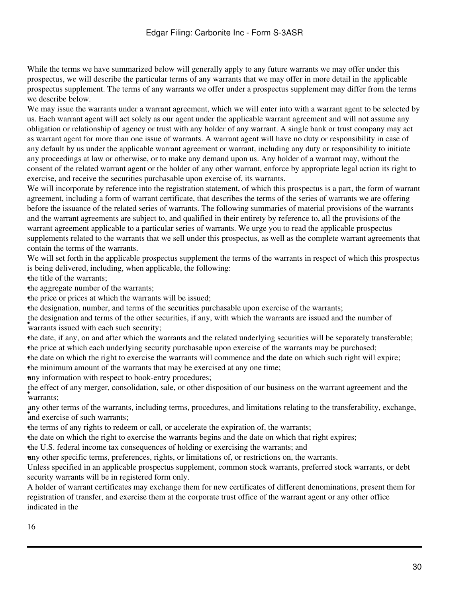While the terms we have summarized below will generally apply to any future warrants we may offer under this prospectus, we will describe the particular terms of any warrants that we may offer in more detail in the applicable prospectus supplement. The terms of any warrants we offer under a prospectus supplement may differ from the terms we describe below.

We may issue the warrants under a warrant agreement, which we will enter into with a warrant agent to be selected by us. Each warrant agent will act solely as our agent under the applicable warrant agreement and will not assume any obligation or relationship of agency or trust with any holder of any warrant. A single bank or trust company may act as warrant agent for more than one issue of warrants. A warrant agent will have no duty or responsibility in case of any default by us under the applicable warrant agreement or warrant, including any duty or responsibility to initiate any proceedings at law or otherwise, or to make any demand upon us. Any holder of a warrant may, without the consent of the related warrant agent or the holder of any other warrant, enforce by appropriate legal action its right to exercise, and receive the securities purchasable upon exercise of, its warrants.

We will incorporate by reference into the registration statement, of which this prospectus is a part, the form of warrant agreement, including a form of warrant certificate, that describes the terms of the series of warrants we are offering before the issuance of the related series of warrants. The following summaries of material provisions of the warrants and the warrant agreements are subject to, and qualified in their entirety by reference to, all the provisions of the warrant agreement applicable to a particular series of warrants. We urge you to read the applicable prospectus supplements related to the warrants that we sell under this prospectus, as well as the complete warrant agreements that contain the terms of the warrants.

We will set forth in the applicable prospectus supplement the terms of the warrants in respect of which this prospectus is being delivered, including, when applicable, the following:

the title of the warrants;

the aggregate number of the warrants;

the price or prices at which the warrants will be issued;

•the designation, number, and terms of the securities purchasable upon exercise of the warrants;

warrants issued with each such security; the designation and terms of the other securities, if any, with which the warrants are issued and the number of

•the date, if any, on and after which the warrants and the related underlying securities will be separately transferable; •the price at which each underlying security purchasable upon exercise of the warrants may be purchased;

•the date on which the right to exercise the warrants will commence and the date on which such right will expire; •the minimum amount of the warrants that may be exercised at any one time;

any information with respect to book-entry procedures;

warrants; the effect of any merger, consolidation, sale, or other disposition of our business on the warrant agreement and the

and exercise of such warrants; any other terms of the warrants, including terms, procedures, and limitations relating to the transferability, exchange,

the terms of any rights to redeem or call, or accelerate the expiration of, the warrants;

•the date on which the right to exercise the warrants begins and the date on which that right expires;

•the U.S. federal income tax consequences of holding or exercising the warrants; and

•any other specific terms, preferences, rights, or limitations of, or restrictions on, the warrants.

Unless specified in an applicable prospectus supplement, common stock warrants, preferred stock warrants, or debt security warrants will be in registered form only.

A holder of warrant certificates may exchange them for new certificates of different denominations, present them for registration of transfer, and exercise them at the corporate trust office of the warrant agent or any other office indicated in the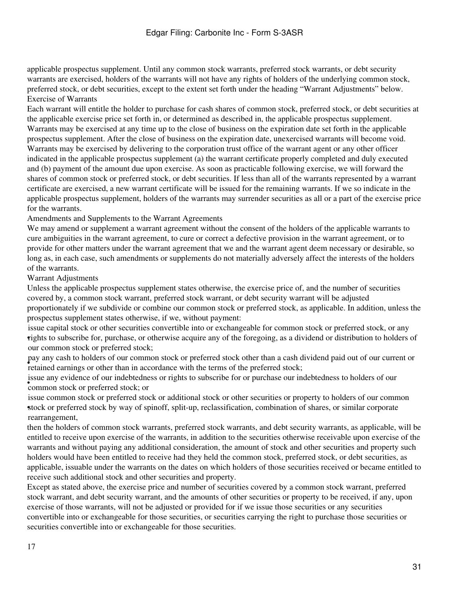applicable prospectus supplement. Until any common stock warrants, preferred stock warrants, or debt security warrants are exercised, holders of the warrants will not have any rights of holders of the underlying common stock, preferred stock, or debt securities, except to the extent set forth under the heading "Warrant Adjustments" below. Exercise of Warrants

Each warrant will entitle the holder to purchase for cash shares of common stock, preferred stock, or debt securities at the applicable exercise price set forth in, or determined as described in, the applicable prospectus supplement. Warrants may be exercised at any time up to the close of business on the expiration date set forth in the applicable prospectus supplement. After the close of business on the expiration date, unexercised warrants will become void. Warrants may be exercised by delivering to the corporation trust office of the warrant agent or any other officer indicated in the applicable prospectus supplement (a) the warrant certificate properly completed and duly executed and (b) payment of the amount due upon exercise. As soon as practicable following exercise, we will forward the shares of common stock or preferred stock, or debt securities. If less than all of the warrants represented by a warrant certificate are exercised, a new warrant certificate will be issued for the remaining warrants. If we so indicate in the applicable prospectus supplement, holders of the warrants may surrender securities as all or a part of the exercise price for the warrants.

Amendments and Supplements to the Warrant Agreements

We may amend or supplement a warrant agreement without the consent of the holders of the applicable warrants to cure ambiguities in the warrant agreement, to cure or correct a defective provision in the warrant agreement, or to provide for other matters under the warrant agreement that we and the warrant agent deem necessary or desirable, so long as, in each case, such amendments or supplements do not materially adversely affect the interests of the holders of the warrants.

Warrant Adjustments

Unless the applicable prospectus supplement states otherwise, the exercise price of, and the number of securities covered by, a common stock warrant, preferred stock warrant, or debt security warrant will be adjusted proportionately if we subdivide or combine our common stock or preferred stock, as applicable. In addition, unless the prospectus supplement states otherwise, if we, without payment:

• rights to subscribe for, purchase, or otherwise acquire any of the foregoing, as a dividend or distribution to holders of issue capital stock or other securities convertible into or exchangeable for common stock or preferred stock, or any our common stock or preferred stock;

• retained earnings or other than in accordance with the terms of the preferred stock; pay any cash to holders of our common stock or preferred stock other than a cash dividend paid out of our current or

state any evidence of our independent issue any evidence of our indebtedness or rights to subscribe for or purchase our indebtedness to holders of our

• stock or preferred stock by way of spinoff, split-up, reclassification, combination of shares, or similar corporate issue common stock or preferred stock or additional stock or other securities or property to holders of our common rearrangement,

then the holders of common stock warrants, preferred stock warrants, and debt security warrants, as applicable, will be entitled to receive upon exercise of the warrants, in addition to the securities otherwise receivable upon exercise of the warrants and without paying any additional consideration, the amount of stock and other securities and property such holders would have been entitled to receive had they held the common stock, preferred stock, or debt securities, as applicable, issuable under the warrants on the dates on which holders of those securities received or became entitled to receive such additional stock and other securities and property.

Except as stated above, the exercise price and number of securities covered by a common stock warrant, preferred stock warrant, and debt security warrant, and the amounts of other securities or property to be received, if any, upon exercise of those warrants, will not be adjusted or provided for if we issue those securities or any securities convertible into or exchangeable for those securities, or securities carrying the right to purchase those securities or securities convertible into or exchangeable for those securities.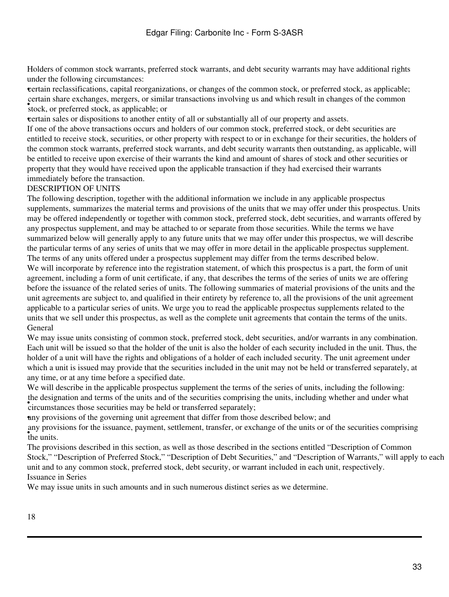Holders of common stock warrants, preferred stock warrants, and debt security warrants may have additional rights under the following circumstances:

•certain reclassifications, capital reorganizations, or changes of the common stock, or preferred stock, as applicable; • stock, or preferred stock, as applicable; or certain share exchanges, mergers, or similar transactions involving us and which result in changes of the common

•certain sales or dispositions to another entity of all or substantially all of our property and assets.

If one of the above transactions occurs and holders of our common stock, preferred stock, or debt securities are entitled to receive stock, securities, or other property with respect to or in exchange for their securities, the holders of the common stock warrants, preferred stock warrants, and debt security warrants then outstanding, as applicable, will be entitled to receive upon exercise of their warrants the kind and amount of shares of stock and other securities or property that they would have received upon the applicable transaction if they had exercised their warrants immediately before the transaction.

## <span id="page-32-0"></span>DESCRIPTION OF UNITS

The following description, together with the additional information we include in any applicable prospectus supplements, summarizes the material terms and provisions of the units that we may offer under this prospectus. Units may be offered independently or together with common stock, preferred stock, debt securities, and warrants offered by any prospectus supplement, and may be attached to or separate from those securities. While the terms we have summarized below will generally apply to any future units that we may offer under this prospectus, we will describe the particular terms of any series of units that we may offer in more detail in the applicable prospectus supplement. The terms of any units offered under a prospectus supplement may differ from the terms described below. We will incorporate by reference into the registration statement, of which this prospectus is a part, the form of unit agreement, including a form of unit certificate, if any, that describes the terms of the series of units we are offering before the issuance of the related series of units. The following summaries of material provisions of the units and the unit agreements are subject to, and qualified in their entirety by reference to, all the provisions of the unit agreement applicable to a particular series of units. We urge you to read the applicable prospectus supplements related to the units that we sell under this prospectus, as well as the complete unit agreements that contain the terms of the units. General

We may issue units consisting of common stock, preferred stock, debt securities, and/or warrants in any combination. Each unit will be issued so that the holder of the unit is also the holder of each security included in the unit. Thus, the holder of a unit will have the rights and obligations of a holder of each included security. The unit agreement under which a unit is issued may provide that the securities included in the unit may not be held or transferred separately, at any time, or at any time before a specified date.

We will describe in the applicable prospectus supplement the terms of the series of units, including the following: enced separately;<br>circumstances those securities may be held or transferred separately; the designation and terms of the units and of the securities comprising the units, including whether and under what

•any provisions of the governing unit agreement that differ from those described below; and

• the units. any provisions for the issuance, payment, settlement, transfer, or exchange of the units or of the securities comprising

The provisions described in this section, as well as those described in the sections entitled "Description of Common Stock," "Description of Preferred Stock," "Description of Debt Securities," and "Description of Warrants," will apply to each unit and to any common stock, preferred stock, debt security, or warrant included in each unit, respectively. Issuance in Series

We may issue units in such amounts and in such numerous distinct series as we determine.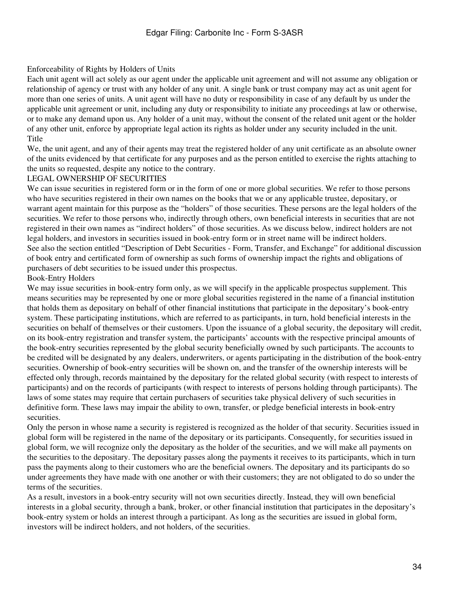## Enforceability of Rights by Holders of Units

Each unit agent will act solely as our agent under the applicable unit agreement and will not assume any obligation or relationship of agency or trust with any holder of any unit. A single bank or trust company may act as unit agent for more than one series of units. A unit agent will have no duty or responsibility in case of any default by us under the applicable unit agreement or unit, including any duty or responsibility to initiate any proceedings at law or otherwise, or to make any demand upon us. Any holder of a unit may, without the consent of the related unit agent or the holder of any other unit, enforce by appropriate legal action its rights as holder under any security included in the unit. Title

We, the unit agent, and any of their agents may treat the registered holder of any unit certificate as an absolute owner of the units evidenced by that certificate for any purposes and as the person entitled to exercise the rights attaching to the units so requested, despite any notice to the contrary.

#### <span id="page-33-0"></span>LEGAL OWNERSHIP OF SECURITIES

We can issue securities in registered form or in the form of one or more global securities. We refer to those persons who have securities registered in their own names on the books that we or any applicable trustee, depositary, or warrant agent maintain for this purpose as the "holders" of those securities. These persons are the legal holders of the securities. We refer to those persons who, indirectly through others, own beneficial interests in securities that are not registered in their own names as "indirect holders" of those securities. As we discuss below, indirect holders are not legal holders, and investors in securities issued in book-entry form or in street name will be indirect holders. See also the section entitled "Description of Debt Securities - Form, Transfer, and Exchange" for additional discussion of book entry and certificated form of ownership as such forms of ownership impact the rights and obligations of purchasers of debt securities to be issued under this prospectus.

#### Book-Entry Holders

We may issue securities in book-entry form only, as we will specify in the applicable prospectus supplement. This means securities may be represented by one or more global securities registered in the name of a financial institution that holds them as depositary on behalf of other financial institutions that participate in the depositary's book-entry system. These participating institutions, which are referred to as participants, in turn, hold beneficial interests in the securities on behalf of themselves or their customers. Upon the issuance of a global security, the depositary will credit, on its book-entry registration and transfer system, the participants' accounts with the respective principal amounts of the book-entry securities represented by the global security beneficially owned by such participants. The accounts to be credited will be designated by any dealers, underwriters, or agents participating in the distribution of the book-entry securities. Ownership of book-entry securities will be shown on, and the transfer of the ownership interests will be effected only through, records maintained by the depositary for the related global security (with respect to interests of participants) and on the records of participants (with respect to interests of persons holding through participants). The laws of some states may require that certain purchasers of securities take physical delivery of such securities in definitive form. These laws may impair the ability to own, transfer, or pledge beneficial interests in book-entry securities.

Only the person in whose name a security is registered is recognized as the holder of that security. Securities issued in global form will be registered in the name of the depositary or its participants. Consequently, for securities issued in global form, we will recognize only the depositary as the holder of the securities, and we will make all payments on the securities to the depositary. The depositary passes along the payments it receives to its participants, which in turn pass the payments along to their customers who are the beneficial owners. The depositary and its participants do so under agreements they have made with one another or with their customers; they are not obligated to do so under the terms of the securities.

As a result, investors in a book-entry security will not own securities directly. Instead, they will own beneficial interests in a global security, through a bank, broker, or other financial institution that participates in the depositary's book-entry system or holds an interest through a participant. As long as the securities are issued in global form, investors will be indirect holders, and not holders, of the securities.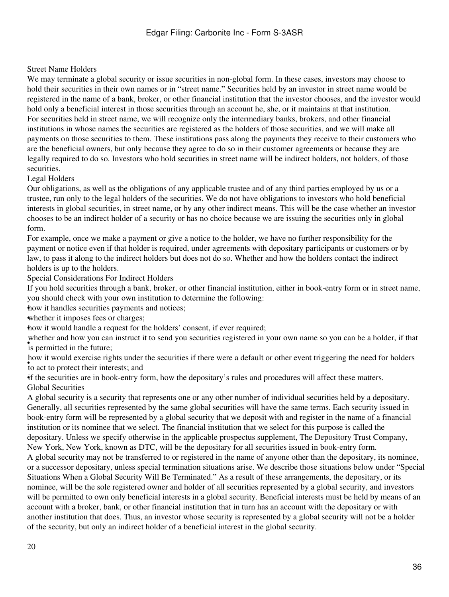## Street Name Holders

We may terminate a global security or issue securities in non-global form. In these cases, investors may choose to hold their securities in their own names or in "street name." Securities held by an investor in street name would be registered in the name of a bank, broker, or other financial institution that the investor chooses, and the investor would hold only a beneficial interest in those securities through an account he, she, or it maintains at that institution. For securities held in street name, we will recognize only the intermediary banks, brokers, and other financial institutions in whose names the securities are registered as the holders of those securities, and we will make all payments on those securities to them. These institutions pass along the payments they receive to their customers who are the beneficial owners, but only because they agree to do so in their customer agreements or because they are legally required to do so. Investors who hold securities in street name will be indirect holders, not holders, of those securities.

#### Legal Holders

Our obligations, as well as the obligations of any applicable trustee and of any third parties employed by us or a trustee, run only to the legal holders of the securities. We do not have obligations to investors who hold beneficial interests in global securities, in street name, or by any other indirect means. This will be the case whether an investor chooses to be an indirect holder of a security or has no choice because we are issuing the securities only in global form.

For example, once we make a payment or give a notice to the holder, we have no further responsibility for the payment or notice even if that holder is required, under agreements with depositary participants or customers or by law, to pass it along to the indirect holders but does not do so. Whether and how the holders contact the indirect holders is up to the holders.

Special Considerations For Indirect Holders

If you hold securities through a bank, broker, or other financial institution, either in book-entry form or in street name, you should check with your own institution to determine the following:

•how it handles securities payments and notices;

whether it imposes fees or charges;

•how it would handle a request for the holders' consent, if ever required;

**Synchronic and How you can** whether and how you can instruct it to send you securities registered in your own name so you can be a holder, if that

• to act to protect their interests; and how it would exercise rights under the securities if there were a default or other event triggering the need for holders

•if the securities are in book-entry form, how the depositary's rules and procedures will affect these matters. Global Securities

A global security is a security that represents one or any other number of individual securities held by a depositary. Generally, all securities represented by the same global securities will have the same terms. Each security issued in book-entry form will be represented by a global security that we deposit with and register in the name of a financial institution or its nominee that we select. The financial institution that we select for this purpose is called the depositary. Unless we specify otherwise in the applicable prospectus supplement, The Depository Trust Company, New York, New York, known as DTC, will be the depositary for all securities issued in book-entry form. A global security may not be transferred to or registered in the name of anyone other than the depositary, its nominee, or a successor depositary, unless special termination situations arise. We describe those situations below under "Special Situations When a Global Security Will Be Terminated." As a result of these arrangements, the depositary, or its nominee, will be the sole registered owner and holder of all securities represented by a global security, and investors will be permitted to own only beneficial interests in a global security. Beneficial interests must be held by means of an account with a broker, bank, or other financial institution that in turn has an account with the depositary or with another institution that does. Thus, an investor whose security is represented by a global security will not be a holder of the security, but only an indirect holder of a beneficial interest in the global security.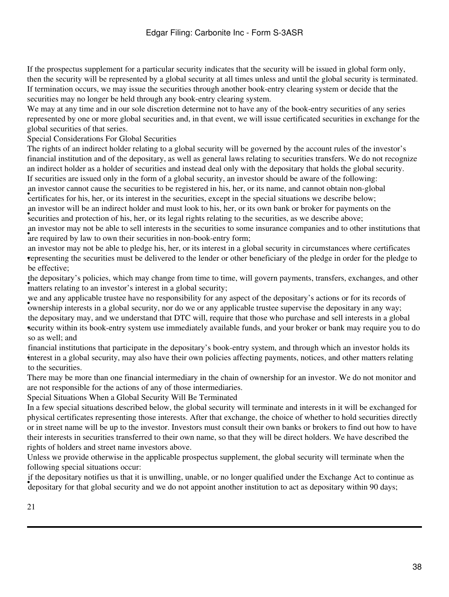If the prospectus supplement for a particular security indicates that the security will be issued in global form only, then the security will be represented by a global security at all times unless and until the global security is terminated. If termination occurs, we may issue the securities through another book-entry clearing system or decide that the securities may no longer be held through any book-entry clearing system.

We may at any time and in our sole discretion determine not to have any of the book-entry securities of any series represented by one or more global securities and, in that event, we will issue certificated securities in exchange for the global securities of that series.

Special Considerations For Global Securities

The rights of an indirect holder relating to a global security will be governed by the account rules of the investor's financial institution and of the depositary, as well as general laws relating to securities transfers. We do not recognize an indirect holder as a holder of securities and instead deal only with the depositary that holds the global security. If securities are issued only in the form of a global security, an investor should be aware of the following:

**EXECURDER FOR THE SECURITIES TO BE SECURED IN THIS, HER, OF AS HAMP, and cannot began hold given** certificates for his, her, or its interest in the securities, except in the special situations we describe below; an investor cannot cause the securities to be registered in his, her, or its name, and cannot obtain non-global

securities and protection of his, her, or its legal rights relating to the securities, as we describe above; an investor will be an indirect holder and must look to his, her, or its own bank or broker for payments on the

an investor may not be able to sell interests in the securities to some are required by law to own their securities in non-book-entry form; an investor may not be able to sell interests in the securities to some insurance companies and to other institutions that

• representing the securities must be delivered to the lender or other beneficiary of the pledge in order for the pledge to an investor may not be able to pledge his, her, or its interest in a global security in circumstances where certificates be effective;

Include the deposition y is policies, which may enange from time to the matters relating to an investor's interest in a global security; the depositary's policies, which may change from time to time, will govern payments, transfers, exchanges, and other

we and any approache trastee have no responsibility for any applicable trustee supervise the depositary in any way; we and any applicable trustee have no responsibility for any aspect of the depositary's actions or for its records of security within its book-entry system use immediately available funds, and your broker or bank may require you to do the depositary may, and we understand that DTC will, require that those who purchase and sell interests in a global so as well; and

• interest in a global security, may also have their own policies affecting payments, notices, and other matters relating financial institutions that participate in the depositary's book-entry system, and through which an investor holds its to the securities.

There may be more than one financial intermediary in the chain of ownership for an investor. We do not monitor and are not responsible for the actions of any of those intermediaries.

Special Situations When a Global Security Will Be Terminated

In a few special situations described below, the global security will terminate and interests in it will be exchanged for physical certificates representing those interests. After that exchange, the choice of whether to hold securities directly or in street name will be up to the investor. Investors must consult their own banks or brokers to find out how to have their interests in securities transferred to their own name, so that they will be direct holders. We have described the rights of holders and street name investors above.

Unless we provide otherwise in the applicable prospectus supplement, the global security will terminate when the following special situations occur:

depositary for that global security and we do not appoint another institution to act as depositary within 90 days; if the depositary notifies us that it is unwilling, unable, or no longer qualified under the Exchange Act to continue as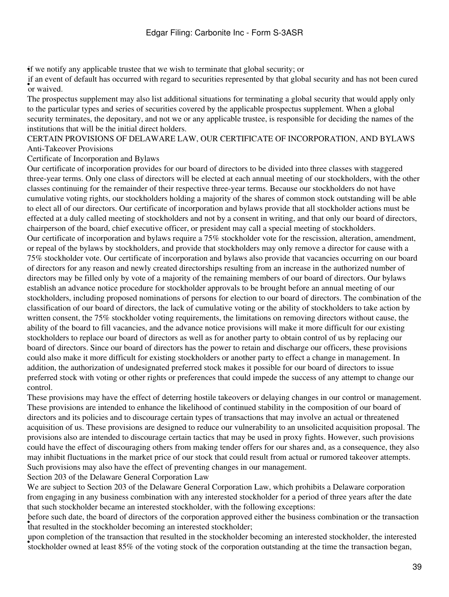•if we notify any applicable trustee that we wish to terminate that global security; or

• or waived. if an event of default has occurred with regard to securities represented by that global security and has not been cured

The prospectus supplement may also list additional situations for terminating a global security that would apply only to the particular types and series of securities covered by the applicable prospectus supplement. When a global security terminates, the depositary, and not we or any applicable trustee, is responsible for deciding the names of the institutions that will be the initial direct holders.

## <span id="page-38-0"></span>CERTAIN PROVISIONS OF DELAWARE LAW, OUR CERTIFICATE OF INCORPORATION, AND BYLAWS Anti-Takeover Provisions

#### Certificate of Incorporation and Bylaws

Our certificate of incorporation provides for our board of directors to be divided into three classes with staggered three-year terms. Only one class of directors will be elected at each annual meeting of our stockholders, with the other classes continuing for the remainder of their respective three-year terms. Because our stockholders do not have cumulative voting rights, our stockholders holding a majority of the shares of common stock outstanding will be able to elect all of our directors. Our certificate of incorporation and bylaws provide that all stockholder actions must be effected at a duly called meeting of stockholders and not by a consent in writing, and that only our board of directors, chairperson of the board, chief executive officer, or president may call a special meeting of stockholders. Our certificate of incorporation and bylaws require a 75% stockholder vote for the rescission, alteration, amendment, or repeal of the bylaws by stockholders, and provide that stockholders may only remove a director for cause with a 75% stockholder vote. Our certificate of incorporation and bylaws also provide that vacancies occurring on our board of directors for any reason and newly created directorships resulting from an increase in the authorized number of directors may be filled only by vote of a majority of the remaining members of our board of directors. Our bylaws establish an advance notice procedure for stockholder approvals to be brought before an annual meeting of our stockholders, including proposed nominations of persons for election to our board of directors. The combination of the classification of our board of directors, the lack of cumulative voting or the ability of stockholders to take action by written consent, the 75% stockholder voting requirements, the limitations on removing directors without cause, the ability of the board to fill vacancies, and the advance notice provisions will make it more difficult for our existing stockholders to replace our board of directors as well as for another party to obtain control of us by replacing our board of directors. Since our board of directors has the power to retain and discharge our officers, these provisions could also make it more difficult for existing stockholders or another party to effect a change in management. In addition, the authorization of undesignated preferred stock makes it possible for our board of directors to issue preferred stock with voting or other rights or preferences that could impede the success of any attempt to change our control.

These provisions may have the effect of deterring hostile takeovers or delaying changes in our control or management. These provisions are intended to enhance the likelihood of continued stability in the composition of our board of directors and its policies and to discourage certain types of transactions that may involve an actual or threatened acquisition of us. These provisions are designed to reduce our vulnerability to an unsolicited acquisition proposal. The provisions also are intended to discourage certain tactics that may be used in proxy fights. However, such provisions could have the effect of discouraging others from making tender offers for our shares and, as a consequence, they also may inhibit fluctuations in the market price of our stock that could result from actual or rumored takeover attempts. Such provisions may also have the effect of preventing changes in our management.

Section 203 of the Delaware General Corporation Law

We are subject to Section 203 of the Delaware General Corporation Law, which prohibits a Delaware corporation from engaging in any business combination with any interested stockholder for a period of three years after the date that such stockholder became an interested stockholder, with the following exceptions:

that resulted in the stockholder becoming an interested stockholder; before such date, the board of directors of the corporation approved either the business combination or the transaction

stockholder owned at least 85% of the voting stock of the corporation outstanding at the time the transaction began, upon completion of the transaction that resulted in the stockholder becoming an interested stockholder, the interested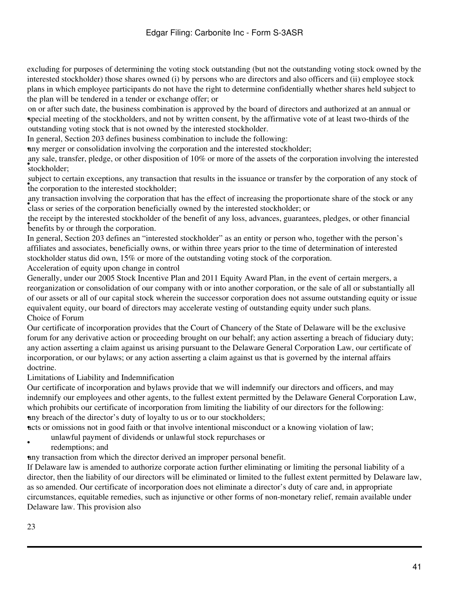excluding for purposes of determining the voting stock outstanding (but not the outstanding voting stock owned by the interested stockholder) those shares owned (i) by persons who are directors and also officers and (ii) employee stock plans in which employee participants do not have the right to determine confidentially whether shares held subject to the plan will be tendered in a tender or exchange offer; or

special meeting of the stockholders, and not by written consent, by the affirmative vote of at least two-thirds of the on or after such date, the business combination is approved by the board of directors and authorized at an annual or outstanding voting stock that is not owned by the interested stockholder.

In general, Section 203 defines business combination to include the following:

•any merger or consolidation involving the corporation and the interested stockholder;

• stockholder; any sale, transfer, pledge, or other disposition of 10% or more of the assets of the corporation involving the interested

subject to certain exceptions, any transaction<br>the corporation to the interested stockholder; subject to certain exceptions, any transaction that results in the issuance or transfer by the corporation of any stock of

• class or series of the corporation beneficially owned by the interested stockholder; or any transaction involving the corporation that has the effect of increasing the proportionate share of the stock or any

benefits by or through the corporation. the receipt by the interested stockholder of the benefit of any loss, advances, guarantees, pledges, or other financial

In general, Section 203 defines an "interested stockholder" as an entity or person who, together with the person's affiliates and associates, beneficially owns, or within three years prior to the time of determination of interested stockholder status did own, 15% or more of the outstanding voting stock of the corporation.

Acceleration of equity upon change in control

Generally, under our 2005 Stock Incentive Plan and 2011 Equity Award Plan, in the event of certain mergers, a reorganization or consolidation of our company with or into another corporation, or the sale of all or substantially all of our assets or all of our capital stock wherein the successor corporation does not assume outstanding equity or issue equivalent equity, our board of directors may accelerate vesting of outstanding equity under such plans. Choice of Forum

Our certificate of incorporation provides that the Court of Chancery of the State of Delaware will be the exclusive forum for any derivative action or proceeding brought on our behalf; any action asserting a breach of fiduciary duty; any action asserting a claim against us arising pursuant to the Delaware General Corporation Law, our certificate of incorporation, or our bylaws; or any action asserting a claim against us that is governed by the internal affairs doctrine.

## Limitations of Liability and Indemnification

Our certificate of incorporation and bylaws provide that we will indemnify our directors and officers, and may indemnify our employees and other agents, to the fullest extent permitted by the Delaware General Corporation Law, which prohibits our certificate of incorporation from limiting the liability of our directors for the following: •any breach of the director's duty of loyalty to us or to our stockholders;

•acts or omissions not in good faith or that involve intentional misconduct or a knowing violation of law;

- unlawful payment of dividends or unlawful stock repurchases or
	- redemptions; and

•any transaction from which the director derived an improper personal benefit.

If Delaware law is amended to authorize corporate action further eliminating or limiting the personal liability of a director, then the liability of our directors will be eliminated or limited to the fullest extent permitted by Delaware law, as so amended. Our certificate of incorporation does not eliminate a director's duty of care and, in appropriate circumstances, equitable remedies, such as injunctive or other forms of non-monetary relief, remain available under Delaware law. This provision also

•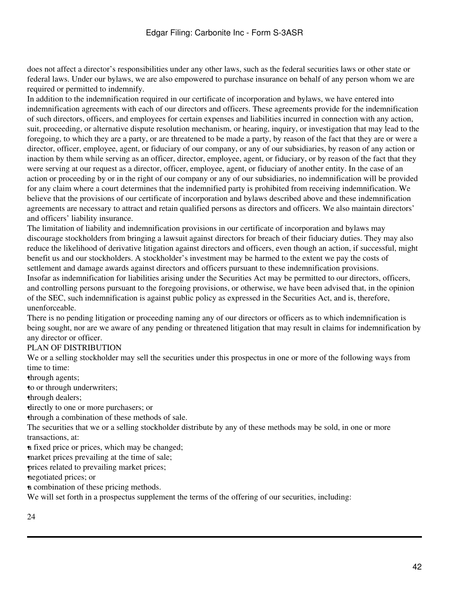does not affect a director's responsibilities under any other laws, such as the federal securities laws or other state or federal laws. Under our bylaws, we are also empowered to purchase insurance on behalf of any person whom we are required or permitted to indemnify.

In addition to the indemnification required in our certificate of incorporation and bylaws, we have entered into indemnification agreements with each of our directors and officers. These agreements provide for the indemnification of such directors, officers, and employees for certain expenses and liabilities incurred in connection with any action, suit, proceeding, or alternative dispute resolution mechanism, or hearing, inquiry, or investigation that may lead to the foregoing, to which they are a party, or are threatened to be made a party, by reason of the fact that they are or were a director, officer, employee, agent, or fiduciary of our company, or any of our subsidiaries, by reason of any action or inaction by them while serving as an officer, director, employee, agent, or fiduciary, or by reason of the fact that they were serving at our request as a director, officer, employee, agent, or fiduciary of another entity. In the case of an action or proceeding by or in the right of our company or any of our subsidiaries, no indemnification will be provided for any claim where a court determines that the indemnified party is prohibited from receiving indemnification. We believe that the provisions of our certificate of incorporation and bylaws described above and these indemnification agreements are necessary to attract and retain qualified persons as directors and officers. We also maintain directors' and officers' liability insurance.

The limitation of liability and indemnification provisions in our certificate of incorporation and bylaws may discourage stockholders from bringing a lawsuit against directors for breach of their fiduciary duties. They may also reduce the likelihood of derivative litigation against directors and officers, even though an action, if successful, might benefit us and our stockholders. A stockholder's investment may be harmed to the extent we pay the costs of settlement and damage awards against directors and officers pursuant to these indemnification provisions. Insofar as indemnification for liabilities arising under the Securities Act may be permitted to our directors, officers, and controlling persons pursuant to the foregoing provisions, or otherwise, we have been advised that, in the opinion of the SEC, such indemnification is against public policy as expressed in the Securities Act, and is, therefore, unenforceable.

There is no pending litigation or proceeding naming any of our directors or officers as to which indemnification is being sought, nor are we aware of any pending or threatened litigation that may result in claims for indemnification by any director or officer.

## <span id="page-41-0"></span>PLAN OF DISTRIBUTION

We or a selling stockholder may sell the securities under this prospectus in one or more of the following ways from time to time:

•through agents;

•to or through underwriters;

•through dealers;

•directly to one or more purchasers; or

•through a combination of these methods of sale.

The securities that we or a selling stockholder distribute by any of these methods may be sold, in one or more transactions, at:

•a fixed price or prices, which may be changed;

•market prices prevailing at the time of sale;

prices related to prevailing market prices;

•negotiated prices; or

•a combination of these pricing methods.

We will set forth in a prospectus supplement the terms of the offering of our securities, including: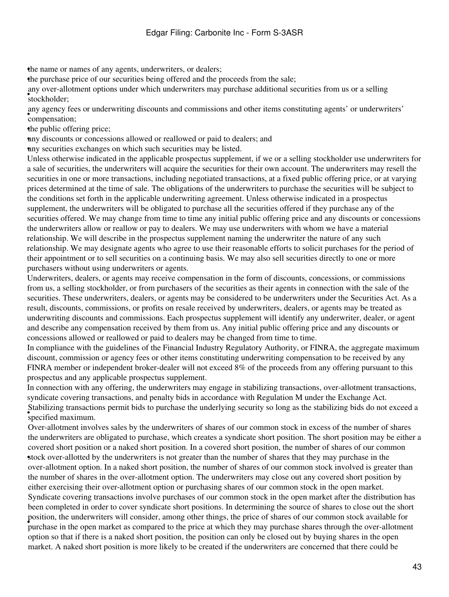•the name or names of any agents, underwriters, or dealers;

•the purchase price of our securities being offered and the proceeds from the sale;

• stockholder; any over-allotment options under which underwriters may purchase additional securities from us or a selling

ency ice any agency fees or underwriting discounts and commissions and other items constituting agents' or underwriters'

the public offering price;

•any discounts or concessions allowed or reallowed or paid to dealers; and

•any securities exchanges on which such securities may be listed.

Unless otherwise indicated in the applicable prospectus supplement, if we or a selling stockholder use underwriters for a sale of securities, the underwriters will acquire the securities for their own account. The underwriters may resell the securities in one or more transactions, including negotiated transactions, at a fixed public offering price, or at varying prices determined at the time of sale. The obligations of the underwriters to purchase the securities will be subject to the conditions set forth in the applicable underwriting agreement. Unless otherwise indicated in a prospectus supplement, the underwriters will be obligated to purchase all the securities offered if they purchase any of the securities offered. We may change from time to time any initial public offering price and any discounts or concessions the underwriters allow or reallow or pay to dealers. We may use underwriters with whom we have a material relationship. We will describe in the prospectus supplement naming the underwriter the nature of any such relationship. We may designate agents who agree to use their reasonable efforts to solicit purchases for the period of their appointment or to sell securities on a continuing basis. We may also sell securities directly to one or more purchasers without using underwriters or agents.

Underwriters, dealers, or agents may receive compensation in the form of discounts, concessions, or commissions from us, a selling stockholder, or from purchasers of the securities as their agents in connection with the sale of the securities. These underwriters, dealers, or agents may be considered to be underwriters under the Securities Act. As a result, discounts, commissions, or profits on resale received by underwriters, dealers, or agents may be treated as underwriting discounts and commissions. Each prospectus supplement will identify any underwriter, dealer, or agent and describe any compensation received by them from us. Any initial public offering price and any discounts or concessions allowed or reallowed or paid to dealers may be changed from time to time.

In compliance with the guidelines of the Financial Industry Regulatory Authority, or FINRA, the aggregate maximum discount, commission or agency fees or other items constituting underwriting compensation to be received by any FINRA member or independent broker-dealer will not exceed 8% of the proceeds from any offering pursuant to this prospectus and any applicable prospectus supplement.

In connection with any offering, the underwriters may engage in stabilizing transactions, over-allotment transactions, syndicate covering transactions, and penalty bids in accordance with Regulation M under the Exchange Act. • *specified maximum.* Stabilizing transactions permit bids to purchase the underlying security so long as the stabilizing bids do not exceed a

stock over-allotted by the underwriters is not greater than the number of shares that they may purchase in the Over-allotment involves sales by the underwriters of shares of our common stock in excess of the number of shares the underwriters are obligated to purchase, which creates a syndicate short position. The short position may be either a covered short position or a naked short position. In a covered short position, the number of shares of our common over-allotment option. In a naked short position, the number of shares of our common stock involved is greater than the number of shares in the over-allotment option. The underwriters may close out any covered short position by either exercising their over-allotment option or purchasing shares of our common stock in the open market. • purchase in the open market as compared to the price at which they may purchase shares through the over-allotment Syndicate covering transactions involve purchases of our common stock in the open market after the distribution has been completed in order to cover syndicate short positions. In determining the source of shares to close out the short position, the underwriters will consider, among other things, the price of shares of our common stock available for option so that if there is a naked short position, the position can only be closed out by buying shares in the open market. A naked short position is more likely to be created if the underwriters are concerned that there could be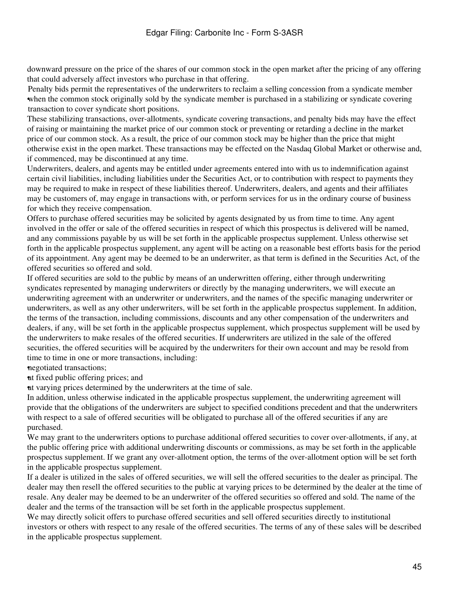downward pressure on the price of the shares of our common stock in the open market after the pricing of any offering that could adversely affect investors who purchase in that offering.

when the common stock originally sold by the syndicate member is purchased in a stabilizing or syndicate covering Penalty bids permit the representatives of the underwriters to reclaim a selling concession from a syndicate member transaction to cover syndicate short positions.

These stabilizing transactions, over-allotments, syndicate covering transactions, and penalty bids may have the effect of raising or maintaining the market price of our common stock or preventing or retarding a decline in the market price of our common stock. As a result, the price of our common stock may be higher than the price that might otherwise exist in the open market. These transactions may be effected on the Nasdaq Global Market or otherwise and, if commenced, may be discontinued at any time.

Underwriters, dealers, and agents may be entitled under agreements entered into with us to indemnification against certain civil liabilities, including liabilities under the Securities Act, or to contribution with respect to payments they may be required to make in respect of these liabilities thereof. Underwriters, dealers, and agents and their affiliates may be customers of, may engage in transactions with, or perform services for us in the ordinary course of business for which they receive compensation.

Offers to purchase offered securities may be solicited by agents designated by us from time to time. Any agent involved in the offer or sale of the offered securities in respect of which this prospectus is delivered will be named, and any commissions payable by us will be set forth in the applicable prospectus supplement. Unless otherwise set forth in the applicable prospectus supplement, any agent will be acting on a reasonable best efforts basis for the period of its appointment. Any agent may be deemed to be an underwriter, as that term is defined in the Securities Act, of the offered securities so offered and sold.

If offered securities are sold to the public by means of an underwritten offering, either through underwriting syndicates represented by managing underwriters or directly by the managing underwriters, we will execute an underwriting agreement with an underwriter or underwriters, and the names of the specific managing underwriter or underwriters, as well as any other underwriters, will be set forth in the applicable prospectus supplement. In addition, the terms of the transaction, including commissions, discounts and any other compensation of the underwriters and dealers, if any, will be set forth in the applicable prospectus supplement, which prospectus supplement will be used by the underwriters to make resales of the offered securities. If underwriters are utilized in the sale of the offered securities, the offered securities will be acquired by the underwriters for their own account and may be resold from time to time in one or more transactions, including:

•negotiated transactions;

•at fixed public offering prices; and

•at varying prices determined by the underwriters at the time of sale.

In addition, unless otherwise indicated in the applicable prospectus supplement, the underwriting agreement will provide that the obligations of the underwriters are subject to specified conditions precedent and that the underwriters with respect to a sale of offered securities will be obligated to purchase all of the offered securities if any are purchased.

We may grant to the underwriters options to purchase additional offered securities to cover over-allotments, if any, at the public offering price with additional underwriting discounts or commissions, as may be set forth in the applicable prospectus supplement. If we grant any over-allotment option, the terms of the over-allotment option will be set forth in the applicable prospectus supplement.

If a dealer is utilized in the sales of offered securities, we will sell the offered securities to the dealer as principal. The dealer may then resell the offered securities to the public at varying prices to be determined by the dealer at the time of resale. Any dealer may be deemed to be an underwriter of the offered securities so offered and sold. The name of the dealer and the terms of the transaction will be set forth in the applicable prospectus supplement.

We may directly solicit offers to purchase offered securities and sell offered securities directly to institutional investors or others with respect to any resale of the offered securities. The terms of any of these sales will be described in the applicable prospectus supplement.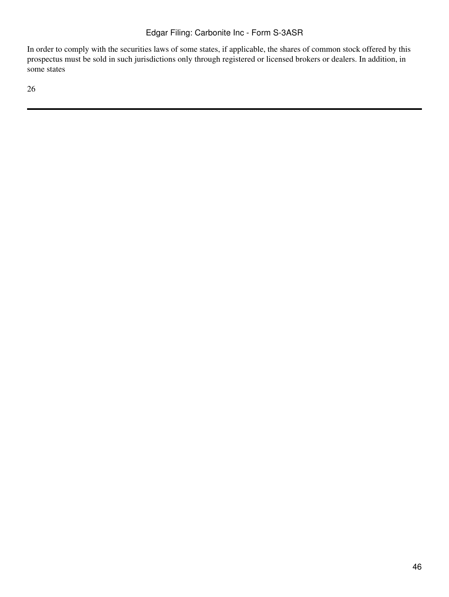In order to comply with the securities laws of some states, if applicable, the shares of common stock offered by this prospectus must be sold in such jurisdictions only through registered or licensed brokers or dealers. In addition, in some states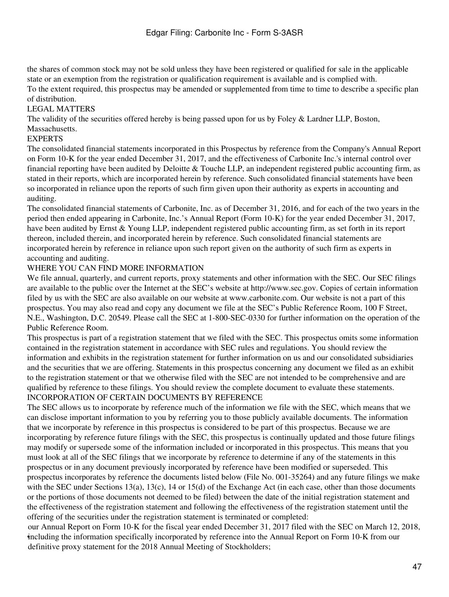the shares of common stock may not be sold unless they have been registered or qualified for sale in the applicable state or an exemption from the registration or qualification requirement is available and is complied with. To the extent required, this prospectus may be amended or supplemented from time to time to describe a specific plan of distribution.

## <span id="page-46-0"></span>LEGAL MATTERS

The validity of the securities offered hereby is being passed upon for us by Foley & Lardner LLP, Boston, Massachusetts.

## <span id="page-46-1"></span>**EXPERTS**

The consolidated financial statements incorporated in this Prospectus by reference from the Company's Annual Report on Form 10-K for the year ended December 31, 2017, and the effectiveness of Carbonite Inc.'s internal control over financial reporting have been audited by Deloitte & Touche LLP, an independent registered public accounting firm, as stated in their reports, which are incorporated herein by reference. Such consolidated financial statements have been so incorporated in reliance upon the reports of such firm given upon their authority as experts in accounting and auditing.

The consolidated financial statements of Carbonite, Inc. as of December 31, 2016, and for each of the two years in the period then ended appearing in Carbonite, Inc.'s Annual Report (Form 10-K) for the year ended December 31, 2017, have been audited by Ernst & Young LLP, independent registered public accounting firm, as set forth in its report thereon, included therein, and incorporated herein by reference. Such consolidated financial statements are incorporated herein by reference in reliance upon such report given on the authority of such firm as experts in accounting and auditing.

## <span id="page-46-2"></span>WHERE YOU CAN FIND MORE INFORMATION

We file annual, quarterly, and current reports, proxy statements and other information with the SEC. Our SEC filings are available to the public over the Internet at the SEC's website at http://www.sec.gov. Copies of certain information filed by us with the SEC are also available on our website at www.carbonite.com. Our website is not a part of this prospectus. You may also read and copy any document we file at the SEC's Public Reference Room, 100 F Street, N.E., Washington, D.C. 20549. Please call the SEC at 1-800-SEC-0330 for further information on the operation of the Public Reference Room.

This prospectus is part of a registration statement that we filed with the SEC. This prospectus omits some information contained in the registration statement in accordance with SEC rules and regulations. You should review the information and exhibits in the registration statement for further information on us and our consolidated subsidiaries and the securities that we are offering. Statements in this prospectus concerning any document we filed as an exhibit to the registration statement or that we otherwise filed with the SEC are not intended to be comprehensive and are qualified by reference to these filings. You should review the complete document to evaluate these statements. INCORPORATION OF CERTAIN DOCUMENTS BY REFERENCE

<span id="page-46-3"></span>The SEC allows us to incorporate by reference much of the information we file with the SEC, which means that we can disclose important information to you by referring you to those publicly available documents. The information that we incorporate by reference in this prospectus is considered to be part of this prospectus. Because we are incorporating by reference future filings with the SEC, this prospectus is continually updated and those future filings may modify or supersede some of the information included or incorporated in this prospectus. This means that you must look at all of the SEC filings that we incorporate by reference to determine if any of the statements in this prospectus or in any document previously incorporated by reference have been modified or superseded. This prospectus incorporates by reference the documents listed below (File No. 001-35264) and any future filings we make with the SEC under Sections 13(a), 13(c), 14 or 15(d) of the Exchange Act (in each case, other than those documents or the portions of those documents not deemed to be filed) between the date of the initial registration statement and the effectiveness of the registration statement and following the effectiveness of the registration statement until the offering of the securities under the registration statement is terminated or completed:

• including the information specifically incorporated by reference into the Annual Report on Form 10-K from our our Annual Report on Form 10-K for the fiscal year ended December 31, 2017 filed with the SEC on March 12, 2018, definitive proxy statement for the 2018 Annual Meeting of Stockholders;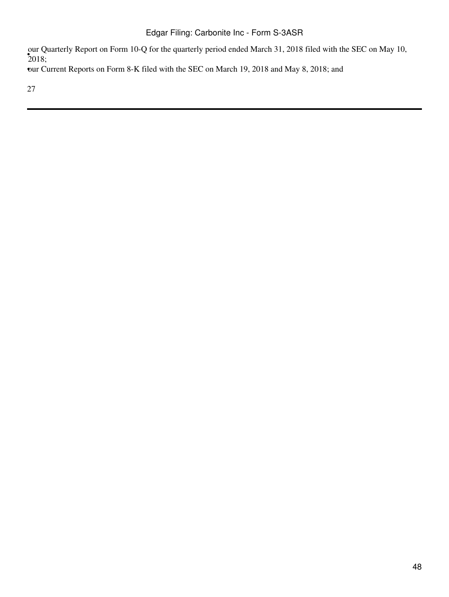our Quarterly Report on Form 10-Q for the quarterly period ended March 31, 2018 filed with the SEC on May 10,<br>2018: 2018;

•our Current Reports on Form 8-K filed with the SEC on March 19, 2018 and May 8, 2018; and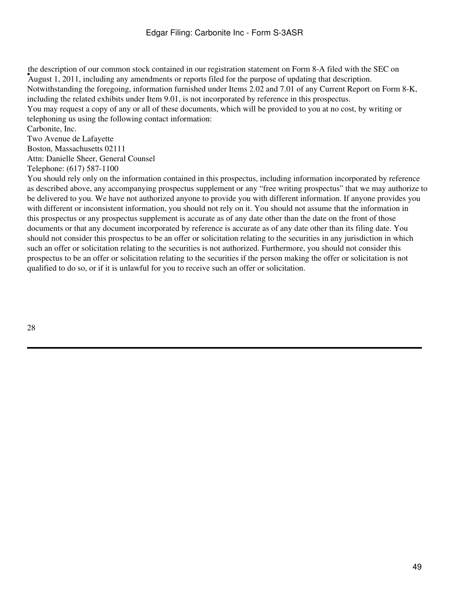August 1, 2011, including any amendments or reports filed for the purpose of updating that description. the description of our common stock contained in our registration statement on Form 8-A filed with the SEC on Notwithstanding the foregoing, information furnished under Items 2.02 and 7.01 of any Current Report on Form 8-K, including the related exhibits under Item 9.01, is not incorporated by reference in this prospectus. You may request a copy of any or all of these documents, which will be provided to you at no cost, by writing or telephoning us using the following contact information: Carbonite, Inc.

Two Avenue de Lafayette

Boston, Massachusetts 02111

Attn: Danielle Sheer, General Counsel

Telephone: (617) 587-1100

You should rely only on the information contained in this prospectus, including information incorporated by reference as described above, any accompanying prospectus supplement or any "free writing prospectus" that we may authorize to be delivered to you. We have not authorized anyone to provide you with different information. If anyone provides you with different or inconsistent information, you should not rely on it. You should not assume that the information in this prospectus or any prospectus supplement is accurate as of any date other than the date on the front of those documents or that any document incorporated by reference is accurate as of any date other than its filing date. You should not consider this prospectus to be an offer or solicitation relating to the securities in any jurisdiction in which such an offer or solicitation relating to the securities is not authorized. Furthermore, you should not consider this prospectus to be an offer or solicitation relating to the securities if the person making the offer or solicitation is not qualified to do so, or if it is unlawful for you to receive such an offer or solicitation.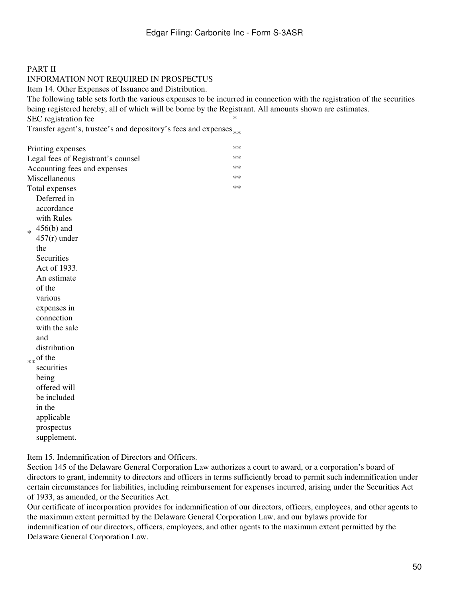#### <span id="page-49-0"></span>PART II

INFORMATION NOT REQUIRED IN PROSPECTUS

Item 14. Other Expenses of Issuance and Distribution.

The following table sets forth the various expenses to be incurred in connection with the registration of the securities being registered hereby, all of which will be borne by the Registrant. All amounts shown are estimates. SEC registration fee

Transfer agent's, trustee's and depository's fees and expenses  $_{**}$ 

| Printing expenses                  | $**$ |
|------------------------------------|------|
| Legal fees of Registrant's counsel | $**$ |
| Accounting fees and expenses       | $**$ |
| Miscellaneous                      | $**$ |
| Total expenses                     | $**$ |
| Deferred in                        |      |
| accordance                         |      |
| with Rules                         |      |
| $456(b)$ and<br>$\ast$             |      |
| $457(r)$ under                     |      |
| the                                |      |
| Securities                         |      |
| Act of 1933.                       |      |
| An estimate                        |      |
| of the                             |      |
| various                            |      |
| expenses in                        |      |
| connection                         |      |
| with the sale                      |      |
| and                                |      |
| distribution                       |      |
| $**$ of the                        |      |
| securities                         |      |
| being                              |      |
| offered will                       |      |
| be included                        |      |
| in the                             |      |
| applicable                         |      |
| prospectus                         |      |
| supplement.                        |      |
|                                    |      |

Item 15. Indemnification of Directors and Officers.

Section 145 of the Delaware General Corporation Law authorizes a court to award, or a corporation's board of directors to grant, indemnity to directors and officers in terms sufficiently broad to permit such indemnification under certain circumstances for liabilities, including reimbursement for expenses incurred, arising under the Securities Act of 1933, as amended, or the Securities Act.

Our certificate of incorporation provides for indemnification of our directors, officers, employees, and other agents to the maximum extent permitted by the Delaware General Corporation Law, and our bylaws provide for indemnification of our directors, officers, employees, and other agents to the maximum extent permitted by the Delaware General Corporation Law.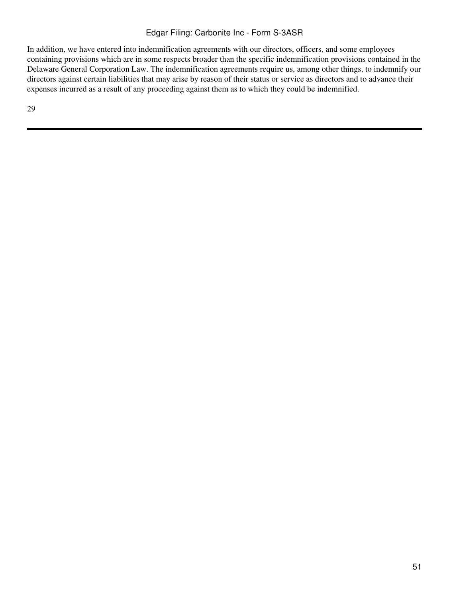## Edgar Filing: Carbonite Inc - Form S-3ASR

In addition, we have entered into indemnification agreements with our directors, officers, and some employees containing provisions which are in some respects broader than the specific indemnification provisions contained in the Delaware General Corporation Law. The indemnification agreements require us, among other things, to indemnify our directors against certain liabilities that may arise by reason of their status or service as directors and to advance their expenses incurred as a result of any proceeding against them as to which they could be indemnified.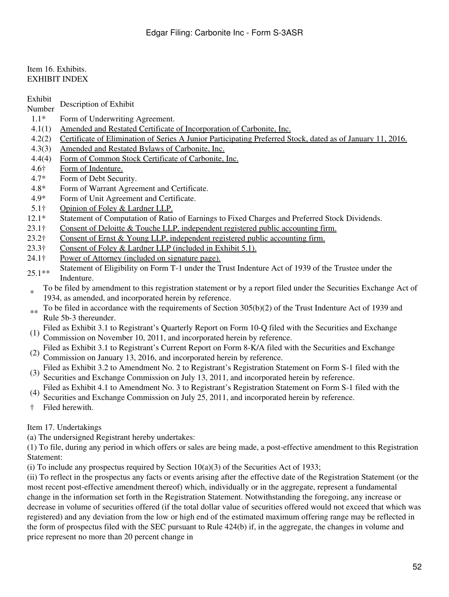## Item 16. Exhibits. EXHIBIT INDEX

Exhibit Exhibit<br>Number Description of Exhibit

- 1.1\* Form of Underwriting Agreement.
- 4.1(1) [Amended and Restated Certificate of Incorporation of Carbonite, Inc.](http://www.sec.gov/Archives/edgar/data/1340127/000095012311097619/b88061exv3w1.htm)
- 4.2(2) [Certificate of Elimination of Series A Junior Participating Preferred Stock, dated as of January 11, 2016.](http://www.sec.gov/Archives/edgar/data/1340127/000134012716000106/certificateofeliminationse.htm)
- 4.3(3) [Amended and Restated Bylaws of Carbonite, Inc.](http://www.sec.gov/Archives/edgar/data/1340127/000095012311065450/b86123a2exv3w2.htm)
- 4.4(4) [Form of Common Stock Certificate of Carbonite, Inc.](http://www.sec.gov/Archives/edgar/data/1340127/000095012311067920/b86123a3exv4w1.htm)
- 4.6† Form of Indenture.
- 4.7\* Form of Debt Security.
- 4.8\* Form of Warrant Agreement and Certificate.
- 4.9\* Form of Unit Agreement and Certificate.
- 5.1† Opinion of Foley & Lardner LLP.
- 12.1\* Statement of Computation of Ratio of Earnings to Fixed Charges and Preferred Stock Dividends.
- 23.1† Consent of Deloitte & Touche LLP, independent registered public accounting firm.
- 23.2† Consent of Ernst & Young LLP, independent registered public accounting firm.
- 23.3† Consent of Foley & Lardner LLP (included in Exhibit 5.1).
- 24.1† [Power of Attorney \(included on signature page\).](#page-57-0)
- 25.1\*\* Statement of Eligibility on Form T-1 under the Trust Indenture Act of 1939 of the Trustee under the Indenture.
- \* To be filed by amendment to this registration statement or by a report filed under the Securities Exchange Act of 1934, as amended, and incorporated herein by reference.
- $*$  To be filed in accordance with the requirements of Section 305(b)(2) of the Trust Indenture Act of 1939 and Rule 5b-3 thereunder.
- (1) Filed as Exhibit 3.1 to Registrant's Quarterly Report on Form 10-Q filed with the Securities and Exchange Commission on November 10, 2011, and incorporated herein by reference.
- (2) Filed as Exhibit 3.1 to Registrant's Current Report on Form 8-K/A filed with the Securities and Exchange Commission on January 13, 2016, and incorporated herein by reference.
- (3) Filed as Exhibit 3.2 to Amendment No. 2 to Registrant's Registration Statement on Form S-1 filed with the Securities and Exchange Commission on July 13, 2011, and incorporated herein by reference.
- (4) Filed as Exhibit 4.1 to Amendment No. 3 to Registrant's Registration Statement on Form S-1 filed with the
- Securities and Exchange Commission on July 25, 2011, and incorporated herein by reference.
- † Filed herewith.

## Item 17. Undertakings

(a) The undersigned Registrant hereby undertakes:

(1) To file, during any period in which offers or sales are being made, a post-effective amendment to this Registration Statement:

(i) To include any prospectus required by Section  $10(a)(3)$  of the Securities Act of 1933;

(ii) To reflect in the prospectus any facts or events arising after the effective date of the Registration Statement (or the most recent post-effective amendment thereof) which, individually or in the aggregate, represent a fundamental change in the information set forth in the Registration Statement. Notwithstanding the foregoing, any increase or decrease in volume of securities offered (if the total dollar value of securities offered would not exceed that which was registered) and any deviation from the low or high end of the estimated maximum offering range may be reflected in the form of prospectus filed with the SEC pursuant to Rule 424(b) if, in the aggregate, the changes in volume and price represent no more than 20 percent change in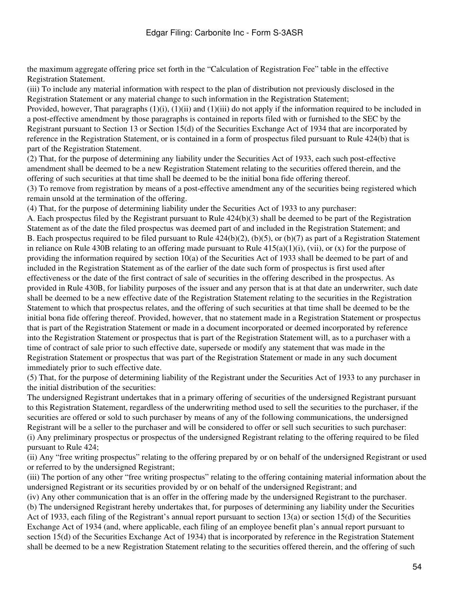the maximum aggregate offering price set forth in the "Calculation of Registration Fee" table in the effective Registration Statement.

(iii) To include any material information with respect to the plan of distribution not previously disclosed in the Registration Statement or any material change to such information in the Registration Statement;

Provided, however, That paragraphs  $(1)(i)$ ,  $(1)(ii)$  and  $(1)(iii)$  do not apply if the information required to be included in a post-effective amendment by those paragraphs is contained in reports filed with or furnished to the SEC by the Registrant pursuant to Section 13 or Section 15(d) of the Securities Exchange Act of 1934 that are incorporated by reference in the Registration Statement, or is contained in a form of prospectus filed pursuant to Rule 424(b) that is part of the Registration Statement.

(2) That, for the purpose of determining any liability under the Securities Act of 1933, each such post-effective amendment shall be deemed to be a new Registration Statement relating to the securities offered therein, and the offering of such securities at that time shall be deemed to be the initial bona fide offering thereof.

(3) To remove from registration by means of a post-effective amendment any of the securities being registered which remain unsold at the termination of the offering.

(4) That, for the purpose of determining liability under the Securities Act of 1933 to any purchaser:

A. Each prospectus filed by the Registrant pursuant to Rule 424(b)(3) shall be deemed to be part of the Registration Statement as of the date the filed prospectus was deemed part of and included in the Registration Statement; and B. Each prospectus required to be filed pursuant to Rule 424(b)(2), (b)(5), or (b)(7) as part of a Registration Statement in reliance on Rule 430B relating to an offering made pursuant to Rule  $415(a)(1)(i)$ , (vii), or (x) for the purpose of providing the information required by section 10(a) of the Securities Act of 1933 shall be deemed to be part of and included in the Registration Statement as of the earlier of the date such form of prospectus is first used after effectiveness or the date of the first contract of sale of securities in the offering described in the prospectus. As provided in Rule 430B, for liability purposes of the issuer and any person that is at that date an underwriter, such date shall be deemed to be a new effective date of the Registration Statement relating to the securities in the Registration Statement to which that prospectus relates, and the offering of such securities at that time shall be deemed to be the initial bona fide offering thereof. Provided, however, that no statement made in a Registration Statement or prospectus that is part of the Registration Statement or made in a document incorporated or deemed incorporated by reference into the Registration Statement or prospectus that is part of the Registration Statement will, as to a purchaser with a time of contract of sale prior to such effective date, supersede or modify any statement that was made in the Registration Statement or prospectus that was part of the Registration Statement or made in any such document immediately prior to such effective date.

(5) That, for the purpose of determining liability of the Registrant under the Securities Act of 1933 to any purchaser in the initial distribution of the securities:

The undersigned Registrant undertakes that in a primary offering of securities of the undersigned Registrant pursuant to this Registration Statement, regardless of the underwriting method used to sell the securities to the purchaser, if the securities are offered or sold to such purchaser by means of any of the following communications, the undersigned Registrant will be a seller to the purchaser and will be considered to offer or sell such securities to such purchaser: (i) Any preliminary prospectus or prospectus of the undersigned Registrant relating to the offering required to be filed pursuant to Rule 424;

(ii) Any "free writing prospectus" relating to the offering prepared by or on behalf of the undersigned Registrant or used or referred to by the undersigned Registrant;

(iii) The portion of any other "free writing prospectus" relating to the offering containing material information about the undersigned Registrant or its securities provided by or on behalf of the undersigned Registrant; and

(iv) Any other communication that is an offer in the offering made by the undersigned Registrant to the purchaser. (b) The undersigned Registrant hereby undertakes that, for purposes of determining any liability under the Securities Act of 1933, each filing of the Registrant's annual report pursuant to section 13(a) or section 15(d) of the Securities Exchange Act of 1934 (and, where applicable, each filing of an employee benefit plan's annual report pursuant to section 15(d) of the Securities Exchange Act of 1934) that is incorporated by reference in the Registration Statement shall be deemed to be a new Registration Statement relating to the securities offered therein, and the offering of such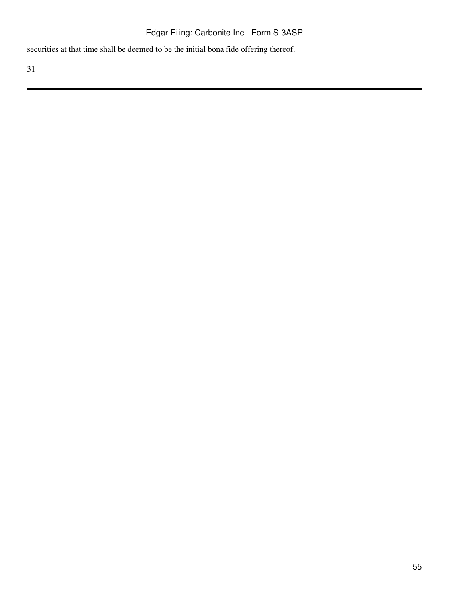# Edgar Filing: Carbonite Inc - Form S-3ASR

securities at that time shall be deemed to be the initial bona fide offering thereof.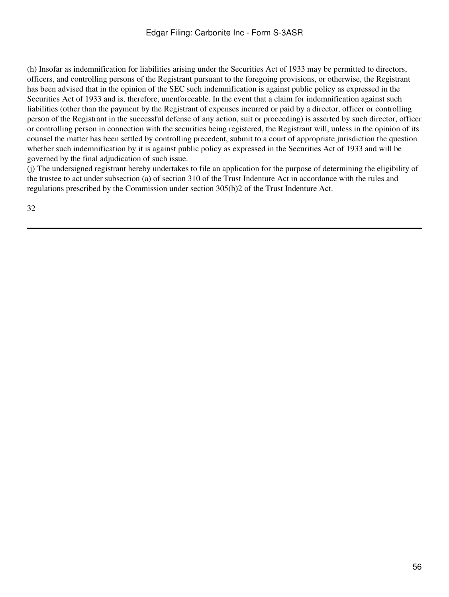(h) Insofar as indemnification for liabilities arising under the Securities Act of 1933 may be permitted to directors, officers, and controlling persons of the Registrant pursuant to the foregoing provisions, or otherwise, the Registrant has been advised that in the opinion of the SEC such indemnification is against public policy as expressed in the Securities Act of 1933 and is, therefore, unenforceable. In the event that a claim for indemnification against such liabilities (other than the payment by the Registrant of expenses incurred or paid by a director, officer or controlling person of the Registrant in the successful defense of any action, suit or proceeding) is asserted by such director, officer or controlling person in connection with the securities being registered, the Registrant will, unless in the opinion of its counsel the matter has been settled by controlling precedent, submit to a court of appropriate jurisdiction the question whether such indemnification by it is against public policy as expressed in the Securities Act of 1933 and will be governed by the final adjudication of such issue.

(j) The undersigned registrant hereby undertakes to file an application for the purpose of determining the eligibility of the trustee to act under subsection (a) of section 310 of the Trust Indenture Act in accordance with the rules and regulations prescribed by the Commission under section 305(b)2 of the Trust Indenture Act.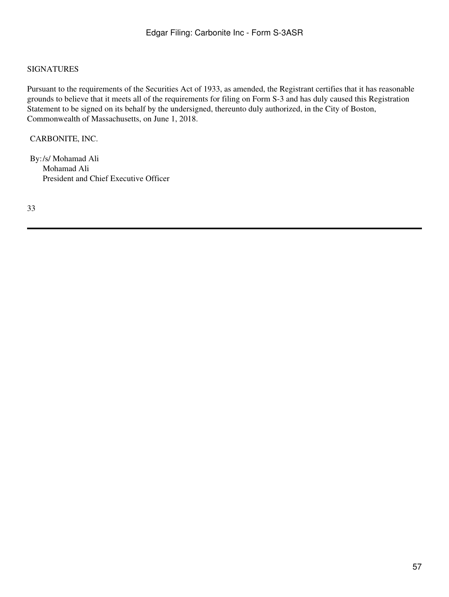## <span id="page-56-0"></span>SIGNATURES

Pursuant to the requirements of the Securities Act of 1933, as amended, the Registrant certifies that it has reasonable grounds to believe that it meets all of the requirements for filing on Form S-3 and has duly caused this Registration Statement to be signed on its behalf by the undersigned, thereunto duly authorized, in the City of Boston, Commonwealth of Massachusetts, on June 1, 2018.

CARBONITE, INC.

By:/s/ Mohamad Ali Mohamad Ali President and Chief Executive Officer